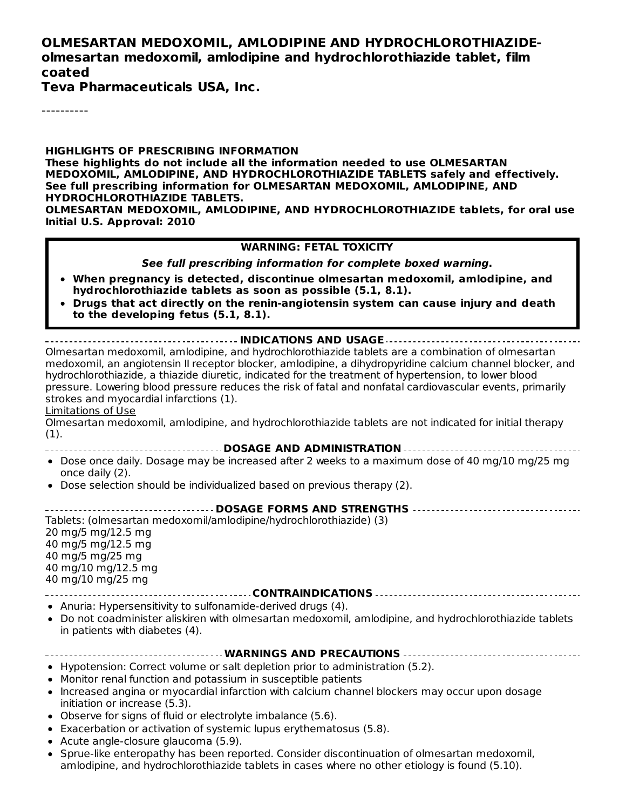#### **OLMESARTAN MEDOXOMIL, AMLODIPINE AND HYDROCHLOROTHIAZIDEolmesartan medoxomil, amlodipine and hydrochlorothiazide tablet, film coated**

**Teva Pharmaceuticals USA, Inc.**

----------

**HIGHLIGHTS OF PRESCRIBING INFORMATION These highlights do not include all the information needed to use OLMESARTAN MEDOXOMIL, AMLODIPINE, AND HYDROCHLOROTHIAZIDE TABLETS safely and effectively. See full prescribing information for OLMESARTAN MEDOXOMIL, AMLODIPINE, AND HYDROCHLOROTHIAZIDE TABLETS. OLMESARTAN MEDOXOMIL, AMLODIPINE, AND HYDROCHLOROTHIAZIDE tablets, for oral use**

**Initial U.S. Approval: 2010**

#### **WARNING: FETAL TOXICITY**

**See full prescribing information for complete boxed warning.**

- **When pregnancy is detected, discontinue olmesartan medoxomil, amlodipine, and hydrochlorothiazide tablets as soon as possible (5.1, 8.1).**
- **Drugs that act directly on the renin-angiotensin system can cause injury and death to the developing fetus (5.1, 8.1).**

**INDICATIONS AND USAGE**

Olmesartan medoxomil, amlodipine, and hydrochlorothiazide tablets are a combination of olmesartan medoxomil, an angiotensin II receptor blocker, amlodipine, a dihydropyridine calcium channel blocker, and hydrochlorothiazide, a thiazide diuretic, indicated for the treatment of hypertension, to lower blood pressure. Lowering blood pressure reduces the risk of fatal and nonfatal cardiovascular events, primarily strokes and myocardial infarctions (1).

Limitations of Use

Olmesartan medoxomil, amlodipine, and hydrochlorothiazide tablets are not indicated for initial therapy (1).

- **DOSAGE AND ADMINISTRATION**
- Dose once daily. Dosage may be increased after 2 weeks to a maximum dose of 40 mg/10 mg/25 mg once daily (2).
- Dose selection should be individualized based on previous therapy (2).

#### **DOSAGE FORMS AND STRENGTHS**

Tablets: (olmesartan medoxomil/amlodipine/hydrochlorothiazide) (3) 20 mg/5 mg/12.5 mg

 mg/5 mg/12.5 mg mg/5 mg/25 mg mg/10 mg/12.5 mg mg/10 mg/25 mg

**CONTRAINDICATIONS**

- Anuria: Hypersensitivity to sulfonamide-derived drugs (4).
- Do not coadminister aliskiren with olmesartan medoxomil, amlodipine, and hydrochlorothiazide tablets in patients with diabetes (4).

#### **WARNINGS AND PRECAUTIONS**

- Hypotension: Correct volume or salt depletion prior to administration (5.2).
- Monitor renal function and potassium in susceptible patients
- Increased angina or myocardial infarction with calcium channel blockers may occur upon dosage initiation or increase (5.3).
- Observe for signs of fluid or electrolyte imbalance (5.6).
- Exacerbation or activation of systemic lupus erythematosus (5.8).  $\bullet$
- Acute angle-closure glaucoma (5.9).
- Sprue-like enteropathy has been reported. Consider discontinuation of olmesartan medoxomil, amlodipine, and hydrochlorothiazide tablets in cases where no other etiology is found (5.10).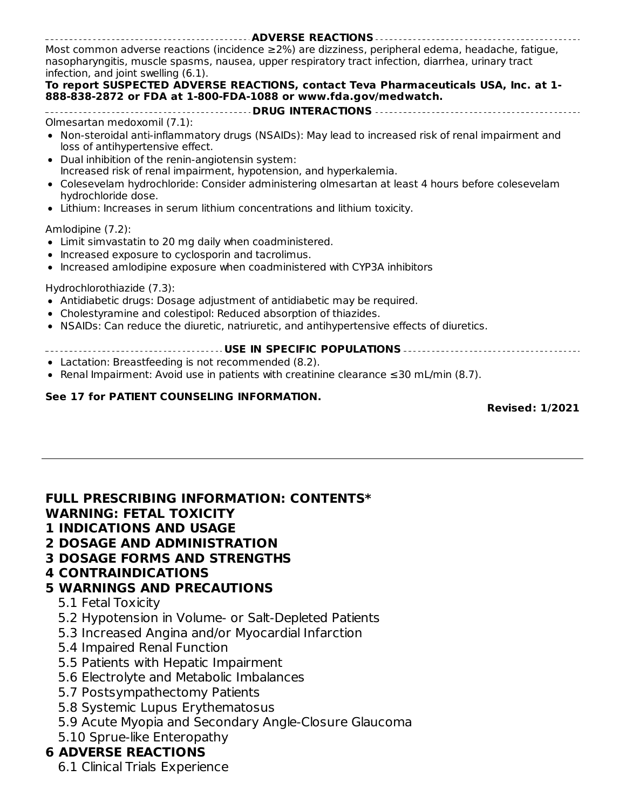#### **ADVERSE REACTIONS**

Most common adverse reactions (incidence ≥2%) are dizziness, peripheral edema, headache, fatigue, nasopharyngitis, muscle spasms, nausea, upper respiratory tract infection, diarrhea, urinary tract infection, and joint swelling (6.1).

#### **To report SUSPECTED ADVERSE REACTIONS, contact Teva Pharmaceuticals USA, Inc. at 1- 888-838-2872 or FDA at 1-800-FDA-1088 or www.fda.gov/medwatch.**

**DRUG INTERACTIONS** Olmesartan medoxomil (7.1):

- Non-steroidal anti-inflammatory drugs (NSAIDs): May lead to increased risk of renal impairment and loss of antihypertensive effect.
- Dual inhibition of the renin-angiotensin system: Increased risk of renal impairment, hypotension, and hyperkalemia.
- Colesevelam hydrochloride: Consider administering olmesartan at least 4 hours before colesevelam  $\bullet$ hydrochloride dose.
- Lithium: Increases in serum lithium concentrations and lithium toxicity.

#### Amlodipine (7.2):

- Limit simvastatin to 20 mg daily when coadministered.
- Increased exposure to cyclosporin and tacrolimus.
- Increased amlodipine exposure when coadministered with CYP3A inhibitors

#### Hydrochlorothiazide (7.3):

- Antidiabetic drugs: Dosage adjustment of antidiabetic may be required.
- Cholestyramine and colestipol: Reduced absorption of thiazides.
- NSAIDs: Can reduce the diuretic, natriuretic, and antihypertensive effects of diuretics.
- **USE IN SPECIFIC POPULATIONS**
- Lactation: Breastfeeding is not recommended (8.2).
- Renal Impairment: Avoid use in patients with creatinine clearance  $≤30$  mL/min (8.7).

#### **See 17 for PATIENT COUNSELING INFORMATION.**

**Revised: 1/2021**

### **FULL PRESCRIBING INFORMATION: CONTENTS\***

**WARNING: FETAL TOXICITY**

#### **1 INDICATIONS AND USAGE**

- **2 DOSAGE AND ADMINISTRATION**
- **3 DOSAGE FORMS AND STRENGTHS**

#### **4 CONTRAINDICATIONS**

#### **5 WARNINGS AND PRECAUTIONS**

#### 5.1 Fetal Toxicity

- 5.2 Hypotension in Volume- or Salt-Depleted Patients
- 5.3 Increased Angina and/or Myocardial Infarction
- 5.4 Impaired Renal Function
- 5.5 Patients with Hepatic Impairment
- 5.6 Electrolyte and Metabolic Imbalances
- 5.7 Postsympathectomy Patients
- 5.8 Systemic Lupus Erythematosus
- 5.9 Acute Myopia and Secondary Angle-Closure Glaucoma
- 5.10 Sprue-like Enteropathy

#### **6 ADVERSE REACTIONS**

6.1 Clinical Trials Experience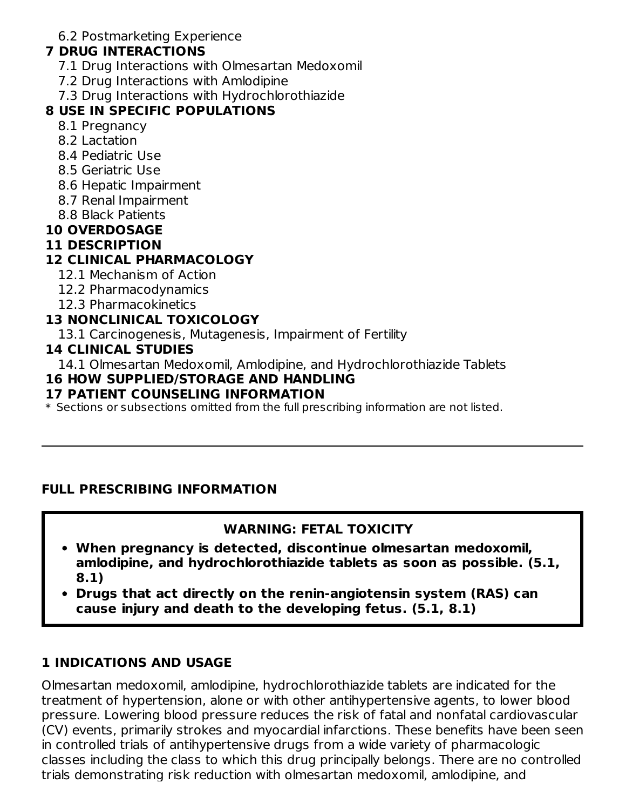6.2 Postmarketing Experience

#### **7 DRUG INTERACTIONS**

- 7.1 Drug Interactions with Olmesartan Medoxomil
- 7.2 Drug Interactions with Amlodipine
- 7.3 Drug Interactions with Hydrochlorothiazide

### **8 USE IN SPECIFIC POPULATIONS**

- 8.1 Pregnancy
- 8.2 Lactation
- 8.4 Pediatric Use
- 8.5 Geriatric Use
- 8.6 Hepatic Impairment
- 8.7 Renal Impairment
- 8.8 Black Patients

### **10 OVERDOSAGE**

### **11 DESCRIPTION**

### **12 CLINICAL PHARMACOLOGY**

- 12.1 Mechanism of Action
- 12.2 Pharmacodynamics
- 12.3 Pharmacokinetics

### **13 NONCLINICAL TOXICOLOGY**

13.1 Carcinogenesis, Mutagenesis, Impairment of Fertility

### **14 CLINICAL STUDIES**

14.1 Olmesartan Medoxomil, Amlodipine, and Hydrochlorothiazide Tablets

### **16 HOW SUPPLIED/STORAGE AND HANDLING**

### **17 PATIENT COUNSELING INFORMATION**

 $\ast$  Sections or subsections omitted from the full prescribing information are not listed.

### **FULL PRESCRIBING INFORMATION**

### **WARNING: FETAL TOXICITY**

- **When pregnancy is detected, discontinue olmesartan medoxomil, amlodipine, and hydrochlorothiazide tablets as soon as possible. (5.1, 8.1)**
- **Drugs that act directly on the renin-angiotensin system (RAS) can cause injury and death to the developing fetus. (5.1, 8.1)**

### **1 INDICATIONS AND USAGE**

Olmesartan medoxomil, amlodipine, hydrochlorothiazide tablets are indicated for the treatment of hypertension, alone or with other antihypertensive agents, to lower blood pressure. Lowering blood pressure reduces the risk of fatal and nonfatal cardiovascular (CV) events, primarily strokes and myocardial infarctions. These benefits have been seen in controlled trials of antihypertensive drugs from a wide variety of pharmacologic classes including the class to which this drug principally belongs. There are no controlled trials demonstrating risk reduction with olmesartan medoxomil, amlodipine, and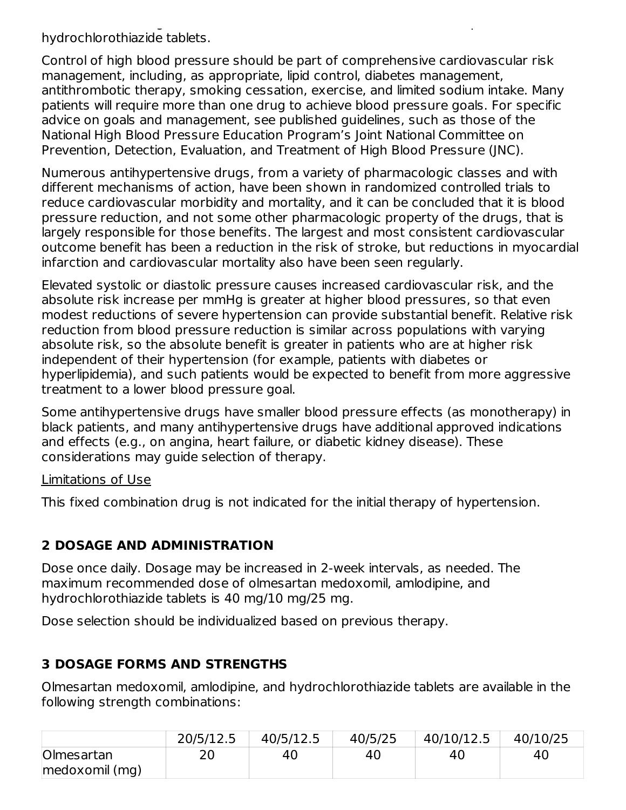trials demonstrating risk reduction with olmesartan medoxomil, amlodipine, and hydrochlorothiazide tablets.

Control of high blood pressure should be part of comprehensive cardiovascular risk management, including, as appropriate, lipid control, diabetes management, antithrombotic therapy, smoking cessation, exercise, and limited sodium intake. Many patients will require more than one drug to achieve blood pressure goals. For specific advice on goals and management, see published guidelines, such as those of the National High Blood Pressure Education Program's Joint National Committee on Prevention, Detection, Evaluation, and Treatment of High Blood Pressure (JNC).

Numerous antihypertensive drugs, from a variety of pharmacologic classes and with different mechanisms of action, have been shown in randomized controlled trials to reduce cardiovascular morbidity and mortality, and it can be concluded that it is blood pressure reduction, and not some other pharmacologic property of the drugs, that is largely responsible for those benefits. The largest and most consistent cardiovascular outcome benefit has been a reduction in the risk of stroke, but reductions in myocardial infarction and cardiovascular mortality also have been seen regularly.

Elevated systolic or diastolic pressure causes increased cardiovascular risk, and the absolute risk increase per mmHg is greater at higher blood pressures, so that even modest reductions of severe hypertension can provide substantial benefit. Relative risk reduction from blood pressure reduction is similar across populations with varying absolute risk, so the absolute benefit is greater in patients who are at higher risk independent of their hypertension (for example, patients with diabetes or hyperlipidemia), and such patients would be expected to benefit from more aggressive treatment to a lower blood pressure goal.

Some antihypertensive drugs have smaller blood pressure effects (as monotherapy) in black patients, and many antihypertensive drugs have additional approved indications and effects (e.g., on angina, heart failure, or diabetic kidney disease). These considerations may guide selection of therapy.

Limitations of Use

This fixed combination drug is not indicated for the initial therapy of hypertension.

### **2 DOSAGE AND ADMINISTRATION**

Dose once daily. Dosage may be increased in 2-week intervals, as needed. The maximum recommended dose of olmesartan medoxomil, amlodipine, and hydrochlorothiazide tablets is 40 mg/10 mg/25 mg.

Dose selection should be individualized based on previous therapy.

## **3 DOSAGE FORMS AND STRENGTHS**

Olmesartan medoxomil, amlodipine, and hydrochlorothiazide tablets are available in the following strength combinations:

|                | 20/5/12.5 | 40/5/12.5 | 40/5/25 | 40/10/12.5 | 40/10/25 |
|----------------|-----------|-----------|---------|------------|----------|
| Olmesartan     | חר        | 40        | 40      | 40         | 40       |
| medoxomil (mg) |           |           |         |            |          |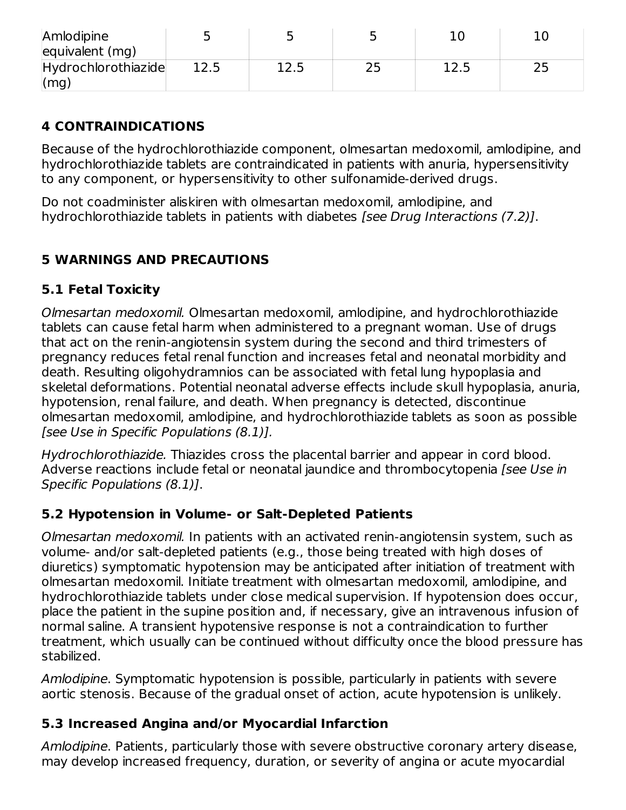| Amlodipine                |      |      |      |  |
|---------------------------|------|------|------|--|
| equivalent (mg)           |      |      |      |  |
| Hydrochlorothiazide       | 12.5 | 12.5 | 12.5 |  |
| $\mathsf{Im}(\mathsf{g})$ |      |      |      |  |

## **4 CONTRAINDICATIONS**

Because of the hydrochlorothiazide component, olmesartan medoxomil, amlodipine, and hydrochlorothiazide tablets are contraindicated in patients with anuria, hypersensitivity to any component, or hypersensitivity to other sulfonamide-derived drugs.

Do not coadminister aliskiren with olmesartan medoxomil, amlodipine, and hydrochlorothiazide tablets in patients with diabetes [see Drug Interactions (7.2)].

## **5 WARNINGS AND PRECAUTIONS**

## **5.1 Fetal Toxicity**

Olmesartan medoxomil. Olmesartan medoxomil, amlodipine, and hydrochlorothiazide tablets can cause fetal harm when administered to a pregnant woman. Use of drugs that act on the renin-angiotensin system during the second and third trimesters of pregnancy reduces fetal renal function and increases fetal and neonatal morbidity and death. Resulting oligohydramnios can be associated with fetal lung hypoplasia and skeletal deformations. Potential neonatal adverse effects include skull hypoplasia, anuria, hypotension, renal failure, and death. When pregnancy is detected, discontinue olmesartan medoxomil, amlodipine, and hydrochlorothiazide tablets as soon as possible [see Use in Specific Populations (8.1)].

Hydrochlorothiazide. Thiazides cross the placental barrier and appear in cord blood. Adverse reactions include fetal or neonatal jaundice and thrombocytopenia [see Use in Specific Populations (8.1)].

## **5.2 Hypotension in Volume- or Salt-Depleted Patients**

Olmesartan medoxomil. In patients with an activated renin-angiotensin system, such as volume- and/or salt-depleted patients (e.g., those being treated with high doses of diuretics) symptomatic hypotension may be anticipated after initiation of treatment with olmesartan medoxomil. Initiate treatment with olmesartan medoxomil, amlodipine, and hydrochlorothiazide tablets under close medical supervision. If hypotension does occur, place the patient in the supine position and, if necessary, give an intravenous infusion of normal saline. A transient hypotensive response is not a contraindication to further treatment, which usually can be continued without difficulty once the blood pressure has stabilized.

Amlodipine. Symptomatic hypotension is possible, particularly in patients with severe aortic stenosis. Because of the gradual onset of action, acute hypotension is unlikely.

## **5.3 Increased Angina and/or Myocardial Infarction**

Amlodipine. Patients, particularly those with severe obstructive coronary artery disease, may develop increased frequency, duration, or severity of angina or acute myocardial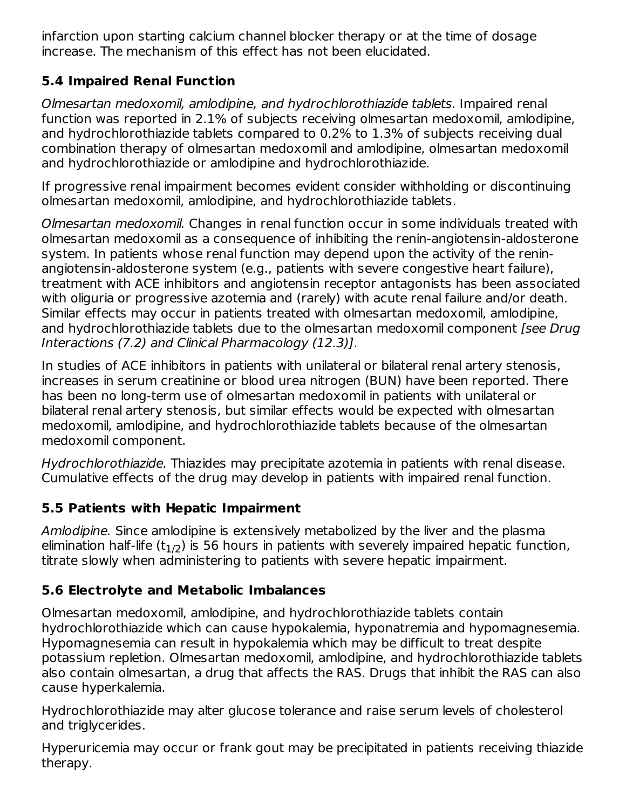infarction upon starting calcium channel blocker therapy or at the time of dosage increase. The mechanism of this effect has not been elucidated.

# **5.4 Impaired Renal Function**

Olmesartan medoxomil, amlodipine, and hydrochlorothiazide tablets. Impaired renal function was reported in 2.1% of subjects receiving olmesartan medoxomil, amlodipine, and hydrochlorothiazide tablets compared to 0.2% to 1.3% of subjects receiving dual combination therapy of olmesartan medoxomil and amlodipine, olmesartan medoxomil and hydrochlorothiazide or amlodipine and hydrochlorothiazide.

If progressive renal impairment becomes evident consider withholding or discontinuing olmesartan medoxomil, amlodipine, and hydrochlorothiazide tablets.

Olmesartan medoxomil. Changes in renal function occur in some individuals treated with olmesartan medoxomil as a consequence of inhibiting the renin-angiotensin-aldosterone system. In patients whose renal function may depend upon the activity of the reninangiotensin-aldosterone system (e.g., patients with severe congestive heart failure), treatment with ACE inhibitors and angiotensin receptor antagonists has been associated with oliguria or progressive azotemia and (rarely) with acute renal failure and/or death. Similar effects may occur in patients treated with olmesartan medoxomil, amlodipine, and hydrochlorothiazide tablets due to the olmesartan medoxomil component *[see Drug*] Interactions (7.2) and Clinical Pharmacology (12.3)].

In studies of ACE inhibitors in patients with unilateral or bilateral renal artery stenosis, increases in serum creatinine or blood urea nitrogen (BUN) have been reported. There has been no long-term use of olmesartan medoxomil in patients with unilateral or bilateral renal artery stenosis, but similar effects would be expected with olmesartan medoxomil, amlodipine, and hydrochlorothiazide tablets because of the olmesartan medoxomil component.

Hydrochlorothiazide. Thiazides may precipitate azotemia in patients with renal disease. Cumulative effects of the drug may develop in patients with impaired renal function.

## **5.5 Patients with Hepatic Impairment**

Amlodipine. Since amlodipine is extensively metabolized by the liver and the plasma elimination half-life (t $_{\rm 1/2}$ ) is 56 hours in patients with severely impaired hepatic function, titrate slowly when administering to patients with severe hepatic impairment.

## **5.6 Electrolyte and Metabolic Imbalances**

Olmesartan medoxomil, amlodipine, and hydrochlorothiazide tablets contain hydrochlorothiazide which can cause hypokalemia, hyponatremia and hypomagnesemia. Hypomagnesemia can result in hypokalemia which may be difficult to treat despite potassium repletion. Olmesartan medoxomil, amlodipine, and hydrochlorothiazide tablets also contain olmesartan, a drug that affects the RAS. Drugs that inhibit the RAS can also cause hyperkalemia.

Hydrochlorothiazide may alter glucose tolerance and raise serum levels of cholesterol and triglycerides.

Hyperuricemia may occur or frank gout may be precipitated in patients receiving thiazide therapy.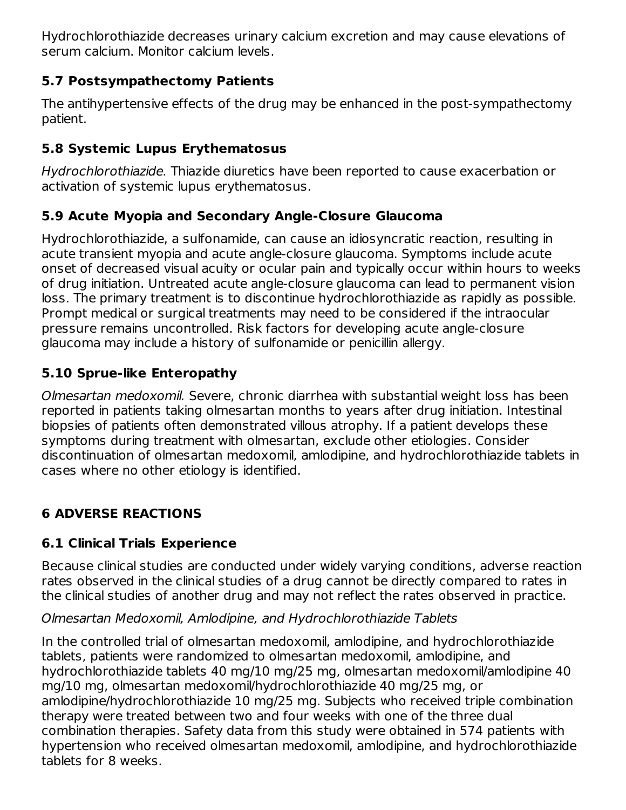Hydrochlorothiazide decreases urinary calcium excretion and may cause elevations of serum calcium. Monitor calcium levels.

## **5.7 Postsympathectomy Patients**

The antihypertensive effects of the drug may be enhanced in the post-sympathectomy patient.

## **5.8 Systemic Lupus Erythematosus**

Hydrochlorothiazide. Thiazide diuretics have been reported to cause exacerbation or activation of systemic lupus erythematosus.

## **5.9 Acute Myopia and Secondary Angle-Closure Glaucoma**

Hydrochlorothiazide, a sulfonamide, can cause an idiosyncratic reaction, resulting in acute transient myopia and acute angle-closure glaucoma. Symptoms include acute onset of decreased visual acuity or ocular pain and typically occur within hours to weeks of drug initiation. Untreated acute angle-closure glaucoma can lead to permanent vision loss. The primary treatment is to discontinue hydrochlorothiazide as rapidly as possible. Prompt medical or surgical treatments may need to be considered if the intraocular pressure remains uncontrolled. Risk factors for developing acute angle-closure glaucoma may include a history of sulfonamide or penicillin allergy.

## **5.10 Sprue-like Enteropathy**

Olmesartan medoxomil. Severe, chronic diarrhea with substantial weight loss has been reported in patients taking olmesartan months to years after drug initiation. Intestinal biopsies of patients often demonstrated villous atrophy. If a patient develops these symptoms during treatment with olmesartan, exclude other etiologies. Consider discontinuation of olmesartan medoxomil, amlodipine, and hydrochlorothiazide tablets in cases where no other etiology is identified.

# **6 ADVERSE REACTIONS**

# **6.1 Clinical Trials Experience**

Because clinical studies are conducted under widely varying conditions, adverse reaction rates observed in the clinical studies of a drug cannot be directly compared to rates in the clinical studies of another drug and may not reflect the rates observed in practice.

## Olmesartan Medoxomil, Amlodipine, and Hydrochlorothiazide Tablets

In the controlled trial of olmesartan medoxomil, amlodipine, and hydrochlorothiazide tablets, patients were randomized to olmesartan medoxomil, amlodipine, and hydrochlorothiazide tablets 40 mg/10 mg/25 mg, olmesartan medoxomil/amlodipine 40 mg/10 mg, olmesartan medoxomil/hydrochlorothiazide 40 mg/25 mg, or amlodipine/hydrochlorothiazide 10 mg/25 mg. Subjects who received triple combination therapy were treated between two and four weeks with one of the three dual combination therapies. Safety data from this study were obtained in 574 patients with hypertension who received olmesartan medoxomil, amlodipine, and hydrochlorothiazide tablets for 8 weeks.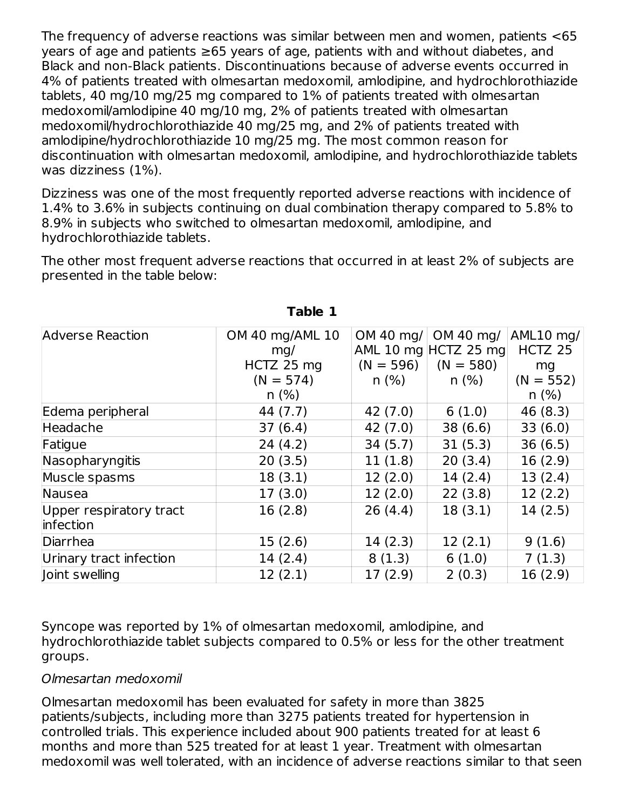The frequency of adverse reactions was similar between men and women, patients <65 years of age and patients ≥65 years of age, patients with and without diabetes, and Black and non-Black patients. Discontinuations because of adverse events occurred in 4% of patients treated with olmesartan medoxomil, amlodipine, and hydrochlorothiazide tablets, 40 mg/10 mg/25 mg compared to 1% of patients treated with olmesartan medoxomil/amlodipine 40 mg/10 mg, 2% of patients treated with olmesartan medoxomil/hydrochlorothiazide 40 mg/25 mg, and 2% of patients treated with amlodipine/hydrochlorothiazide 10 mg/25 mg. The most common reason for discontinuation with olmesartan medoxomil, amlodipine, and hydrochlorothiazide tablets was dizziness (1%).

Dizziness was one of the most frequently reported adverse reactions with incidence of 1.4% to 3.6% in subjects continuing on dual combination therapy compared to 5.8% to 8.9% in subjects who switched to olmesartan medoxomil, amlodipine, and hydrochlorothiazide tablets.

The other most frequent adverse reactions that occurred in at least 2% of subjects are presented in the table below:

| <b>Adverse Reaction</b> | OM 40 mg/AML 10 | OM 40 $mg/$ | OM 40 mg/            | AML10 mg/   |
|-------------------------|-----------------|-------------|----------------------|-------------|
|                         | mg/             |             | AML 10 mg HCTZ 25 mg | HCTZ 25     |
|                         | HCTZ 25 mg      | $(N = 596)$ | $(N = 580)$          | mg          |
|                         | $(N = 574)$     | n(%)        | n(%)                 | $(N = 552)$ |
|                         | $n$ (%)         |             |                      | n(%)        |
| Edema peripheral        | 44 (7.7)        | 42 (7.0)    | 6(1.0)               | 46 (8.3)    |
| Headache                | 37(6.4)         | 42 (7.0)    | 38(6.6)              | 33(6.0)     |
| Fatigue                 | 24(4.2)         | 34(5.7)     | 31(5.3)              | 36(6.5)     |
| Nasopharyngitis         | 20(3.5)         | 11(1.8)     | 20(3.4)              | 16(2.9)     |
| Muscle spasms           | 18(3.1)         | 12(2.0)     | 14(2.4)              | 13(2.4)     |
| Nausea                  | 17(3.0)         | 12(2.0)     | 22(3.8)              | 12(2.2)     |
| Upper respiratory tract | 16(2.8)         | 26(4.4)     | 18(3.1)              | 14(2.5)     |
| infection               |                 |             |                      |             |
| Diarrhea                | 15(2.6)         | 14(2.3)     | 12(2.1)              | 9(1.6)      |
| Urinary tract infection | 14(2.4)         | 8(1.3)      | 6(1.0)               | 7(1.3)      |
| Joint swelling          | 12(2.1)         | 17(2.9)     | 2(0.3)               | 16(2.9)     |

**Table 1**

Syncope was reported by 1% of olmesartan medoxomil, amlodipine, and hydrochlorothiazide tablet subjects compared to 0.5% or less for the other treatment groups.

### Olmesartan medoxomil

Olmesartan medoxomil has been evaluated for safety in more than 3825 patients/subjects, including more than 3275 patients treated for hypertension in controlled trials. This experience included about 900 patients treated for at least 6 months and more than 525 treated for at least 1 year. Treatment with olmesartan medoxomil was well tolerated, with an incidence of adverse reactions similar to that seen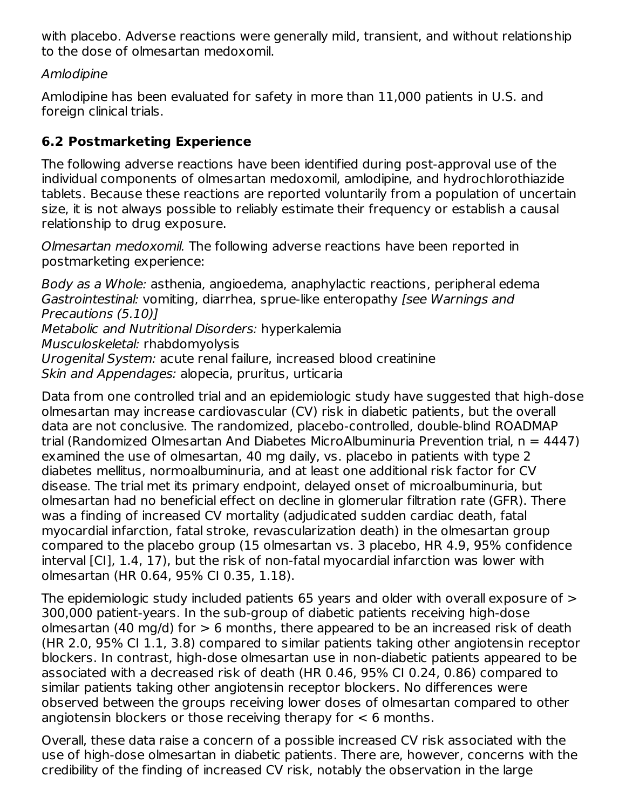with placebo. Adverse reactions were generally mild, transient, and without relationship to the dose of olmesartan medoxomil.

### Amlodipine

Amlodipine has been evaluated for safety in more than 11,000 patients in U.S. and foreign clinical trials.

## **6.2 Postmarketing Experience**

The following adverse reactions have been identified during post-approval use of the individual components of olmesartan medoxomil, amlodipine, and hydrochlorothiazide tablets. Because these reactions are reported voluntarily from a population of uncertain size, it is not always possible to reliably estimate their frequency or establish a causal relationship to drug exposure.

Olmesartan medoxomil. The following adverse reactions have been reported in postmarketing experience:

Body as a Whole: asthenia, angioedema, anaphylactic reactions, peripheral edema Gastrointestinal: vomiting, diarrhea, sprue-like enteropathy *[see Warnings and* Precautions (5.10)] Metabolic and Nutritional Disorders: hyperkalemia Musculoskeletal: rhabdomyolysis Urogenital System: acute renal failure, increased blood creatinine

Skin and Appendages: alopecia, pruritus, urticaria

Data from one controlled trial and an epidemiologic study have suggested that high-dose olmesartan may increase cardiovascular (CV) risk in diabetic patients, but the overall data are not conclusive. The randomized, placebo-controlled, double-blind ROADMAP trial (Randomized Olmesartan And Diabetes MicroAlbuminuria Prevention trial,  $n = 4447$ ) examined the use of olmesartan, 40 mg daily, vs. placebo in patients with type 2 diabetes mellitus, normoalbuminuria, and at least one additional risk factor for CV disease. The trial met its primary endpoint, delayed onset of microalbuminuria, but olmesartan had no beneficial effect on decline in glomerular filtration rate (GFR). There was a finding of increased CV mortality (adjudicated sudden cardiac death, fatal myocardial infarction, fatal stroke, revascularization death) in the olmesartan group compared to the placebo group (15 olmesartan vs. 3 placebo, HR 4.9, 95% confidence interval [CI], 1.4, 17), but the risk of non-fatal myocardial infarction was lower with olmesartan (HR 0.64, 95% CI 0.35, 1.18).

The epidemiologic study included patients 65 years and older with overall exposure of  $>$ 300,000 patient-years. In the sub-group of diabetic patients receiving high-dose olmesartan (40 mg/d) for  $> 6$  months, there appeared to be an increased risk of death (HR 2.0, 95% CI 1.1, 3.8) compared to similar patients taking other angiotensin receptor blockers. In contrast, high-dose olmesartan use in non-diabetic patients appeared to be associated with a decreased risk of death (HR 0.46, 95% CI 0.24, 0.86) compared to similar patients taking other angiotensin receptor blockers. No differences were observed between the groups receiving lower doses of olmesartan compared to other angiotensin blockers or those receiving therapy for < 6 months.

Overall, these data raise a concern of a possible increased CV risk associated with the use of high-dose olmesartan in diabetic patients. There are, however, concerns with the credibility of the finding of increased CV risk, notably the observation in the large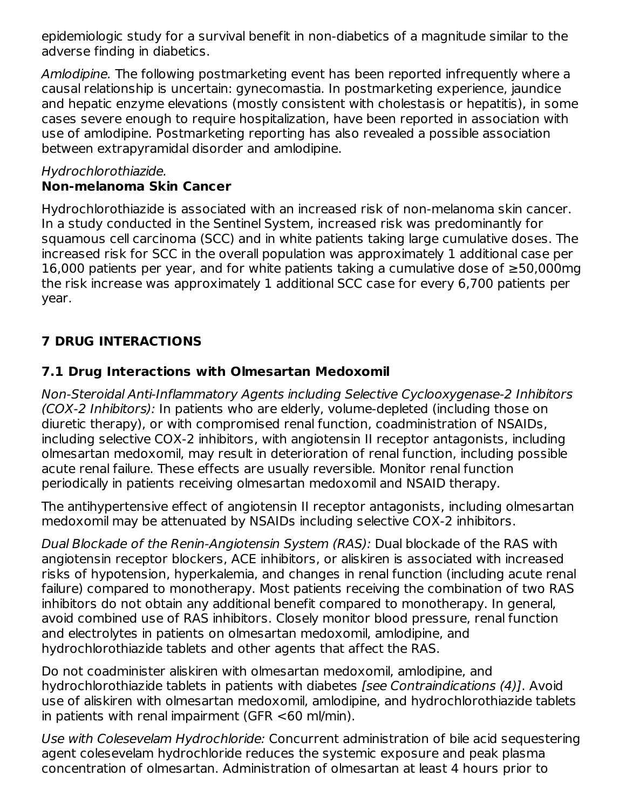epidemiologic study for a survival benefit in non-diabetics of a magnitude similar to the adverse finding in diabetics.

Amlodipine. The following postmarketing event has been reported infrequently where a causal relationship is uncertain: gynecomastia. In postmarketing experience, jaundice and hepatic enzyme elevations (mostly consistent with cholestasis or hepatitis), in some cases severe enough to require hospitalization, have been reported in association with use of amlodipine. Postmarketing reporting has also revealed a possible association between extrapyramidal disorder and amlodipine.

#### Hydrochlorothiazide. **Non-melanoma Skin Cancer**

Hydrochlorothiazide is associated with an increased risk of non-melanoma skin cancer. In a study conducted in the Sentinel System, increased risk was predominantly for squamous cell carcinoma (SCC) and in white patients taking large cumulative doses. The increased risk for SCC in the overall population was approximately 1 additional case per 16,000 patients per year, and for white patients taking a cumulative dose of ≥50,000mg the risk increase was approximately 1 additional SCC case for every 6,700 patients per year.

# **7 DRUG INTERACTIONS**

## **7.1 Drug Interactions with Olmesartan Medoxomil**

Non-Steroidal Anti-Inflammatory Agents including Selective Cyclooxygenase-2 Inhibitors (COX-2 Inhibitors): In patients who are elderly, volume-depleted (including those on diuretic therapy), or with compromised renal function, coadministration of NSAIDs, including selective COX-2 inhibitors, with angiotensin II receptor antagonists, including olmesartan medoxomil, may result in deterioration of renal function, including possible acute renal failure. These effects are usually reversible. Monitor renal function periodically in patients receiving olmesartan medoxomil and NSAID therapy.

The antihypertensive effect of angiotensin II receptor antagonists, including olmesartan medoxomil may be attenuated by NSAIDs including selective COX-2 inhibitors.

Dual Blockade of the Renin-Angiotensin System (RAS): Dual blockade of the RAS with angiotensin receptor blockers, ACE inhibitors, or aliskiren is associated with increased risks of hypotension, hyperkalemia, and changes in renal function (including acute renal failure) compared to monotherapy. Most patients receiving the combination of two RAS inhibitors do not obtain any additional benefit compared to monotherapy. In general, avoid combined use of RAS inhibitors. Closely monitor blood pressure, renal function and electrolytes in patients on olmesartan medoxomil, amlodipine, and hydrochlorothiazide tablets and other agents that affect the RAS.

Do not coadminister aliskiren with olmesartan medoxomil, amlodipine, and hydrochlorothiazide tablets in patients with diabetes [see Contraindications (4)]. Avoid use of aliskiren with olmesartan medoxomil, amlodipine, and hydrochlorothiazide tablets in patients with renal impairment (GFR <60 ml/min).

Use with Colesevelam Hydrochloride: Concurrent administration of bile acid sequestering agent colesevelam hydrochloride reduces the systemic exposure and peak plasma concentration of olmesartan. Administration of olmesartan at least 4 hours prior to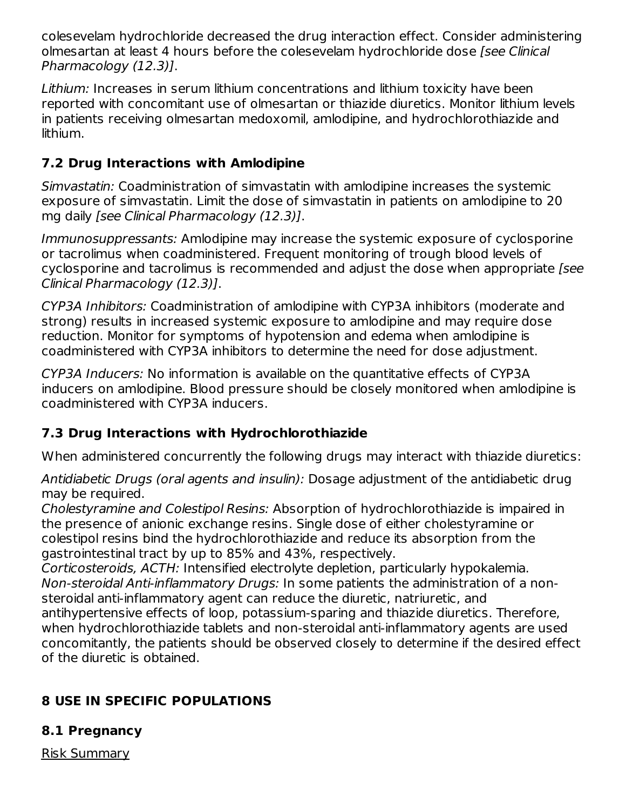colesevelam hydrochloride decreased the drug interaction effect. Consider administering olmesartan at least 4 hours before the colesevelam hydrochloride dose [see Clinical Pharmacology (12.3)].

Lithium: Increases in serum lithium concentrations and lithium toxicity have been reported with concomitant use of olmesartan or thiazide diuretics. Monitor lithium levels in patients receiving olmesartan medoxomil, amlodipine, and hydrochlorothiazide and lithium.

## **7.2 Drug Interactions with Amlodipine**

Simvastatin: Coadministration of simvastatin with amlodipine increases the systemic exposure of simvastatin. Limit the dose of simvastatin in patients on amlodipine to 20 mg daily [see Clinical Pharmacology (12.3)].

Immunosuppressants: Amlodipine may increase the systemic exposure of cyclosporine or tacrolimus when coadministered. Frequent monitoring of trough blood levels of cyclosporine and tacrolimus is recommended and adjust the dose when appropriate [see Clinical Pharmacology (12.3)].

CYP3A Inhibitors: Coadministration of amlodipine with CYP3A inhibitors (moderate and strong) results in increased systemic exposure to amlodipine and may require dose reduction. Monitor for symptoms of hypotension and edema when amlodipine is coadministered with CYP3A inhibitors to determine the need for dose adjustment.

CYP3A Inducers: No information is available on the quantitative effects of CYP3A inducers on amlodipine. Blood pressure should be closely monitored when amlodipine is coadministered with CYP3A inducers.

# **7.3 Drug Interactions with Hydrochlorothiazide**

When administered concurrently the following drugs may interact with thiazide diuretics:

Antidiabetic Drugs (oral agents and insulin): Dosage adjustment of the antidiabetic drug may be required.

Cholestyramine and Colestipol Resins: Absorption of hydrochlorothiazide is impaired in the presence of anionic exchange resins. Single dose of either cholestyramine or colestipol resins bind the hydrochlorothiazide and reduce its absorption from the gastrointestinal tract by up to 85% and 43%, respectively.

Corticosteroids, ACTH: Intensified electrolyte depletion, particularly hypokalemia. Non-steroidal Anti-inflammatory Drugs: In some patients the administration of a nonsteroidal anti-inflammatory agent can reduce the diuretic, natriuretic, and antihypertensive effects of loop, potassium-sparing and thiazide diuretics. Therefore, when hydrochlorothiazide tablets and non-steroidal anti-inflammatory agents are used concomitantly, the patients should be observed closely to determine if the desired effect of the diuretic is obtained.

# **8 USE IN SPECIFIC POPULATIONS**

## **8.1 Pregnancy**

Risk Summary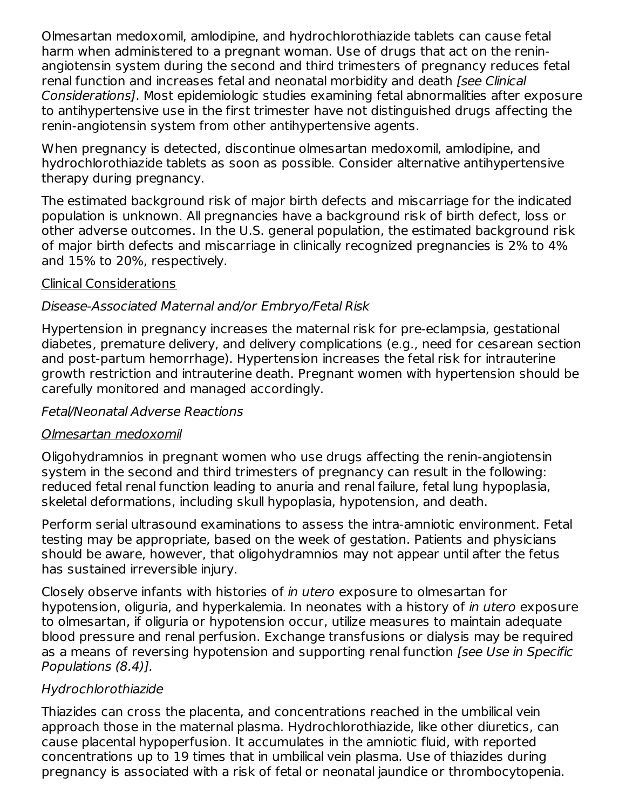Olmesartan medoxomil, amlodipine, and hydrochlorothiazide tablets can cause fetal harm when administered to a pregnant woman. Use of drugs that act on the reninangiotensin system during the second and third trimesters of pregnancy reduces fetal renal function and increases fetal and neonatal morbidity and death [see Clinical Considerations]. Most epidemiologic studies examining fetal abnormalities after exposure to antihypertensive use in the first trimester have not distinguished drugs affecting the renin-angiotensin system from other antihypertensive agents.

When pregnancy is detected, discontinue olmesartan medoxomil, amlodipine, and hydrochlorothiazide tablets as soon as possible. Consider alternative antihypertensive therapy during pregnancy.

The estimated background risk of major birth defects and miscarriage for the indicated population is unknown. All pregnancies have a background risk of birth defect, loss or other adverse outcomes. In the U.S. general population, the estimated background risk of major birth defects and miscarriage in clinically recognized pregnancies is 2% to 4% and 15% to 20%, respectively.

### Clinical Considerations

### Disease-Associated Maternal and/or Embryo/Fetal Risk

Hypertension in pregnancy increases the maternal risk for pre-eclampsia, gestational diabetes, premature delivery, and delivery complications (e.g., need for cesarean section and post-partum hemorrhage). Hypertension increases the fetal risk for intrauterine growth restriction and intrauterine death. Pregnant women with hypertension should be carefully monitored and managed accordingly.

### Fetal/Neonatal Adverse Reactions

### Olmesartan medoxomil

Oligohydramnios in pregnant women who use drugs affecting the renin-angiotensin system in the second and third trimesters of pregnancy can result in the following: reduced fetal renal function leading to anuria and renal failure, fetal lung hypoplasia, skeletal deformations, including skull hypoplasia, hypotension, and death.

Perform serial ultrasound examinations to assess the intra-amniotic environment. Fetal testing may be appropriate, based on the week of gestation. Patients and physicians should be aware, however, that oligohydramnios may not appear until after the fetus has sustained irreversible injury.

Closely observe infants with histories of in utero exposure to olmesartan for hypotension, oliguria, and hyperkalemia. In neonates with a history of in utero exposure to olmesartan, if oliguria or hypotension occur, utilize measures to maintain adequate blood pressure and renal perfusion. Exchange transfusions or dialysis may be required as a means of reversing hypotension and supporting renal function [see Use in Specific Populations (8.4)].

### Hydrochlorothiazide

Thiazides can cross the placenta, and concentrations reached in the umbilical vein approach those in the maternal plasma. Hydrochlorothiazide, like other diuretics, can cause placental hypoperfusion. It accumulates in the amniotic fluid, with reported concentrations up to 19 times that in umbilical vein plasma. Use of thiazides during pregnancy is associated with a risk of fetal or neonatal jaundice or thrombocytopenia.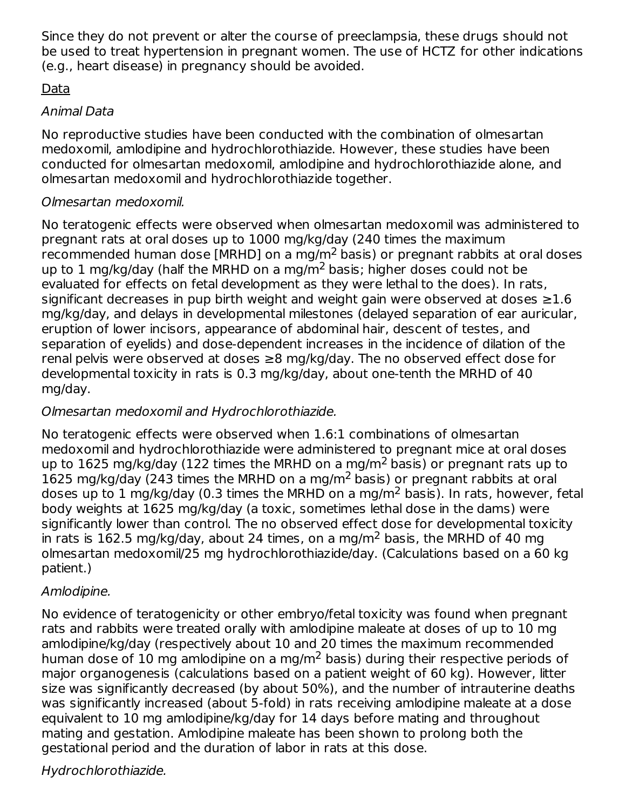Since they do not prevent or alter the course of preeclampsia, these drugs should not be used to treat hypertension in pregnant women. The use of HCTZ for other indications (e.g., heart disease) in pregnancy should be avoided.

## **Data**

### Animal Data

No reproductive studies have been conducted with the combination of olmesartan medoxomil, amlodipine and hydrochlorothiazide. However, these studies have been conducted for olmesartan medoxomil, amlodipine and hydrochlorothiazide alone, and olmesartan medoxomil and hydrochlorothiazide together.

### Olmesartan medoxomil.

No teratogenic effects were observed when olmesartan medoxomil was administered to pregnant rats at oral doses up to 1000 mg/kg/day (240 times the maximum recommended human dose [MRHD] on a mg/m<sup>2</sup> basis) or pregnant rabbits at oral doses up to 1 mg/kg/day (half the MRHD on a mg/m<sup>2</sup> basis; higher doses could not be evaluated for effects on fetal development as they were lethal to the does). In rats, significant decreases in pup birth weight and weight gain were observed at doses  $\geq$ 1.6 mg/kg/day, and delays in developmental milestones (delayed separation of ear auricular, eruption of lower incisors, appearance of abdominal hair, descent of testes, and separation of eyelids) and dose-dependent increases in the incidence of dilation of the renal pelvis were observed at doses ≥8 mg/kg/day. The no observed effect dose for developmental toxicity in rats is 0.3 mg/kg/day, about one-tenth the MRHD of 40 mg/day.

### Olmesartan medoxomil and Hydrochlorothiazide.

No teratogenic effects were observed when 1.6:1 combinations of olmesartan medoxomil and hydrochlorothiazide were administered to pregnant mice at oral doses up to 1625 mg/kg/day (122 times the MRHD on a mg/m<sup>2</sup> basis) or pregnant rats up to 1625 mg/kg/day (243 times the MRHD on a mg/m<sup>2</sup> basis) or pregnant rabbits at oral doses up to 1 mg/kg/day (0.3 times the MRHD on a mg/m<sup>2</sup> basis). In rats, however, fetal body weights at 1625 mg/kg/day (a toxic, sometimes lethal dose in the dams) were significantly lower than control. The no observed effect dose for developmental toxicity in rats is 162.5 mg/kg/day, about 24 times, on a mg/m<sup>2</sup> basis, the MRHD of 40 mg olmesartan medoxomil/25 mg hydrochlorothiazide/day. (Calculations based on a 60 kg patient.)

### Amlodipine.

No evidence of teratogenicity or other embryo/fetal toxicity was found when pregnant rats and rabbits were treated orally with amlodipine maleate at doses of up to 10 mg amlodipine/kg/day (respectively about 10 and 20 times the maximum recommended human dose of 10 mg amlodipine on a mg/m<sup>2</sup> basis) during their respective periods of major organogenesis (calculations based on a patient weight of 60 kg). However, litter size was significantly decreased (by about 50%), and the number of intrauterine deaths was significantly increased (about 5-fold) in rats receiving amlodipine maleate at a dose equivalent to 10 mg amlodipine/kg/day for 14 days before mating and throughout mating and gestation. Amlodipine maleate has been shown to prolong both the gestational period and the duration of labor in rats at this dose.

### Hydrochlorothiazide.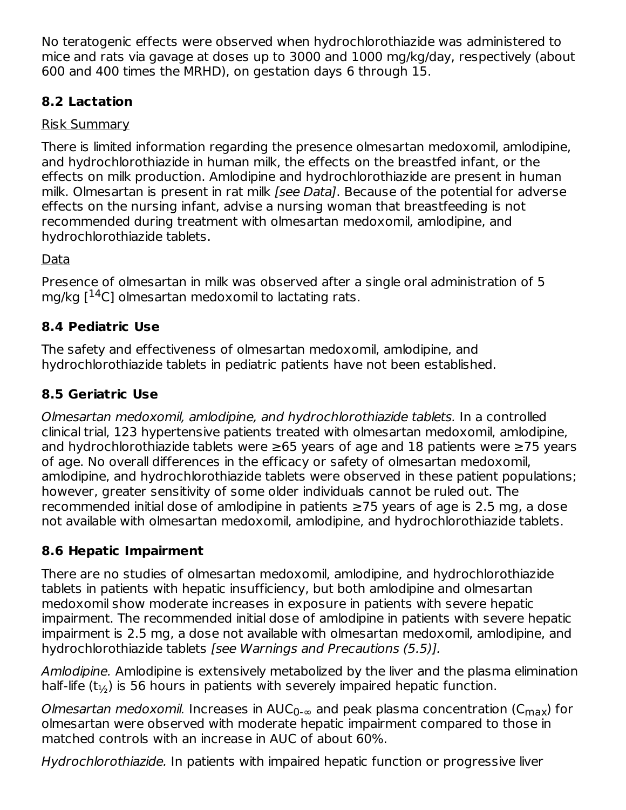No teratogenic effects were observed when hydrochlorothiazide was administered to mice and rats via gavage at doses up to 3000 and 1000 mg/kg/day, respectively (about 600 and 400 times the MRHD), on gestation days 6 through 15.

## **8.2 Lactation**

## Risk Summary

There is limited information regarding the presence olmesartan medoxomil, amlodipine, and hydrochlorothiazide in human milk, the effects on the breastfed infant, or the effects on milk production. Amlodipine and hydrochlorothiazide are present in human milk. Olmesartan is present in rat milk *[see Data]*. Because of the potential for adverse effects on the nursing infant, advise a nursing woman that breastfeeding is not recommended during treatment with olmesartan medoxomil, amlodipine, and hydrochlorothiazide tablets.

## Data

Presence of olmesartan in milk was observed after a single oral administration of 5 mg/kg  $[$ <sup>14</sup>C] olmesartan medoxomil to lactating rats.

## **8.4 Pediatric Use**

The safety and effectiveness of olmesartan medoxomil, amlodipine, and hydrochlorothiazide tablets in pediatric patients have not been established.

## **8.5 Geriatric Use**

Olmesartan medoxomil, amlodipine, and hydrochlorothiazide tablets. In a controlled clinical trial, 123 hypertensive patients treated with olmesartan medoxomil, amlodipine, and hydrochlorothiazide tablets were ≥65 years of age and 18 patients were ≥75 years of age. No overall differences in the efficacy or safety of olmesartan medoxomil, amlodipine, and hydrochlorothiazide tablets were observed in these patient populations; however, greater sensitivity of some older individuals cannot be ruled out. The recommended initial dose of amlodipine in patients ≥75 years of age is 2.5 mg, a dose not available with olmesartan medoxomil, amlodipine, and hydrochlorothiazide tablets.

## **8.6 Hepatic Impairment**

There are no studies of olmesartan medoxomil, amlodipine, and hydrochlorothiazide tablets in patients with hepatic insufficiency, but both amlodipine and olmesartan medoxomil show moderate increases in exposure in patients with severe hepatic impairment. The recommended initial dose of amlodipine in patients with severe hepatic impairment is 2.5 mg, a dose not available with olmesartan medoxomil, amlodipine, and hydrochlorothiazide tablets [see Warnings and Precautions (5.5)].

Amlodipine. Amlodipine is extensively metabolized by the liver and the plasma elimination half-life (t $_{\nu_2}$ ) is 56 hours in patients with severely impaired hepatic function.

*Olmesartan medoxomil.* Increases in AUC<sub>0-∞</sub> and peak plasma concentration (C<sub>max</sub>) for olmesartan were observed with moderate hepatic impairment compared to those in matched controls with an increase in AUC of about 60%.

Hydrochlorothiazide. In patients with impaired hepatic function or progressive liver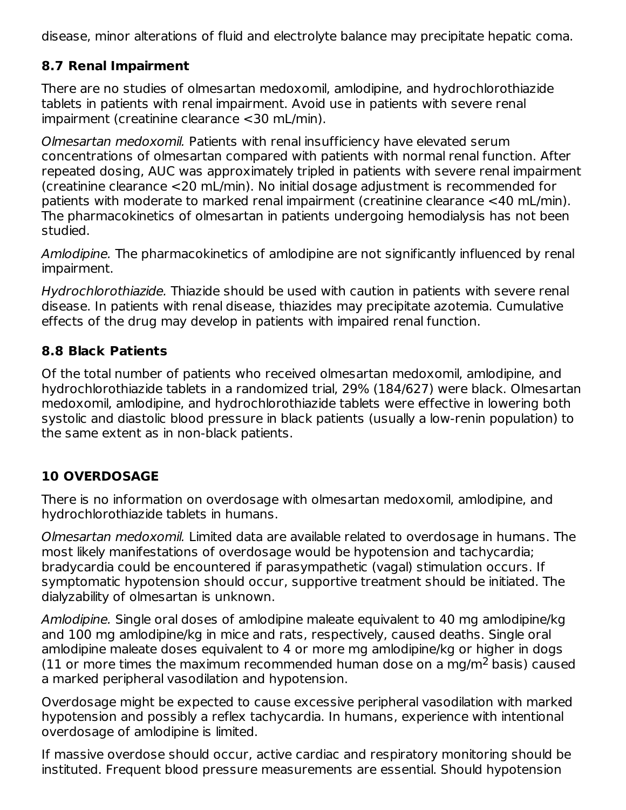disease, minor alterations of fluid and electrolyte balance may precipitate hepatic coma.

## **8.7 Renal Impairment**

There are no studies of olmesartan medoxomil, amlodipine, and hydrochlorothiazide tablets in patients with renal impairment. Avoid use in patients with severe renal impairment (creatinine clearance <30 mL/min).

Olmesartan medoxomil. Patients with renal insufficiency have elevated serum concentrations of olmesartan compared with patients with normal renal function. After repeated dosing, AUC was approximately tripled in patients with severe renal impairment (creatinine clearance <20 mL/min). No initial dosage adjustment is recommended for patients with moderate to marked renal impairment (creatinine clearance <40 mL/min). The pharmacokinetics of olmesartan in patients undergoing hemodialysis has not been studied.

Amlodipine. The pharmacokinetics of amlodipine are not significantly influenced by renal impairment.

Hydrochlorothiazide. Thiazide should be used with caution in patients with severe renal disease. In patients with renal disease, thiazides may precipitate azotemia. Cumulative effects of the drug may develop in patients with impaired renal function.

### **8.8 Black Patients**

Of the total number of patients who received olmesartan medoxomil, amlodipine, and hydrochlorothiazide tablets in a randomized trial, 29% (184/627) were black. Olmesartan medoxomil, amlodipine, and hydrochlorothiazide tablets were effective in lowering both systolic and diastolic blood pressure in black patients (usually a low-renin population) to the same extent as in non-black patients.

# **10 OVERDOSAGE**

There is no information on overdosage with olmesartan medoxomil, amlodipine, and hydrochlorothiazide tablets in humans.

Olmesartan medoxomil. Limited data are available related to overdosage in humans. The most likely manifestations of overdosage would be hypotension and tachycardia; bradycardia could be encountered if parasympathetic (vagal) stimulation occurs. If symptomatic hypotension should occur, supportive treatment should be initiated. The dialyzability of olmesartan is unknown.

Amlodipine. Single oral doses of amlodipine maleate equivalent to 40 mg amlodipine/kg and 100 mg amlodipine/kg in mice and rats, respectively, caused deaths. Single oral amlodipine maleate doses equivalent to 4 or more mg amlodipine/kg or higher in dogs (11 or more times the maximum recommended human dose on a mg/m<sup>2</sup> basis) caused a marked peripheral vasodilation and hypotension.

Overdosage might be expected to cause excessive peripheral vasodilation with marked hypotension and possibly a reflex tachycardia. In humans, experience with intentional overdosage of amlodipine is limited.

If massive overdose should occur, active cardiac and respiratory monitoring should be instituted. Frequent blood pressure measurements are essential. Should hypotension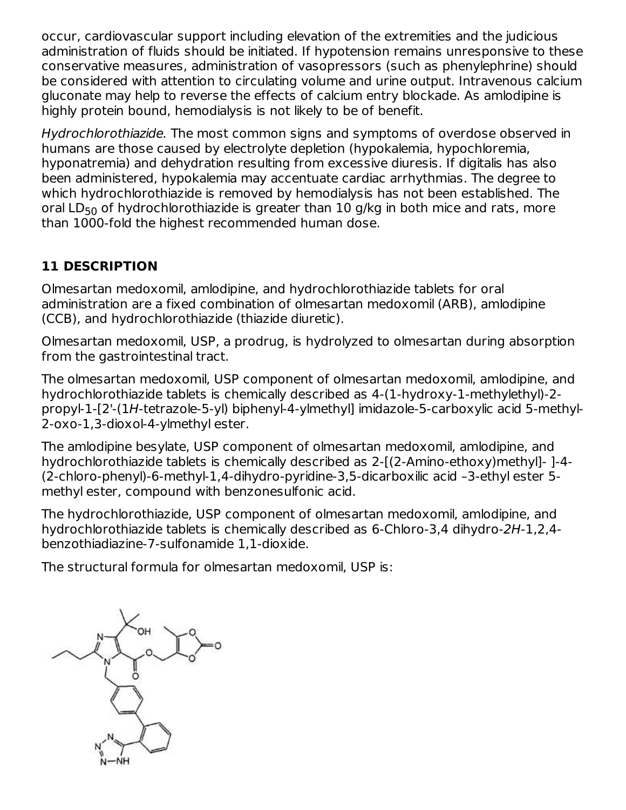occur, cardiovascular support including elevation of the extremities and the judicious administration of fluids should be initiated. If hypotension remains unresponsive to these conservative measures, administration of vasopressors (such as phenylephrine) should be considered with attention to circulating volume and urine output. Intravenous calcium gluconate may help to reverse the effects of calcium entry blockade. As amlodipine is highly protein bound, hemodialysis is not likely to be of benefit.

Hydrochlorothiazide. The most common signs and symptoms of overdose observed in humans are those caused by electrolyte depletion (hypokalemia, hypochloremia, hyponatremia) and dehydration resulting from excessive diuresis. If digitalis has also been administered, hypokalemia may accentuate cardiac arrhythmias. The degree to which hydrochlorothiazide is removed by hemodialysis has not been established. The oral LD<sub>50</sub> of hydrochlorothiazide is greater than 10 g/kg in both mice and rats, more than 1000-fold the highest recommended human dose.

## **11 DESCRIPTION**

Olmesartan medoxomil, amlodipine, and hydrochlorothiazide tablets for oral administration are a fixed combination of olmesartan medoxomil (ARB), amlodipine (CCB), and hydrochlorothiazide (thiazide diuretic).

Olmesartan medoxomil, USP, a prodrug, is hydrolyzed to olmesartan during absorption from the gastrointestinal tract.

The olmesartan medoxomil, USP component of olmesartan medoxomil, amlodipine, and hydrochlorothiazide tablets is chemically described as 4-(1-hydroxy-1-methylethyl)-2 propyl-1-[2'-(1H-tetrazole-5-yl) biphenyl-4-ylmethyl] imidazole-5-carboxylic acid 5-methyl-2-oxo-1,3-dioxol-4-ylmethyl ester.

The amlodipine besylate, USP component of olmesartan medoxomil, amlodipine, and hydrochlorothiazide tablets is chemically described as 2-[(2-Amino-ethoxy)methyl]- ]-4- (2-chloro-phenyl)-6-methyl-1,4-dihydro-pyridine-3,5-dicarboxilic acid –3-ethyl ester 5 methyl ester, compound with benzonesulfonic acid.

The hydrochlorothiazide, USP component of olmesartan medoxomil, amlodipine, and hydrochlorothiazide tablets is chemically described as 6-Chloro-3,4 dihydro-2H-1,2,4 benzothiadiazine-7-sulfonamide 1,1-dioxide.

The structural formula for olmesartan medoxomil, USP is:

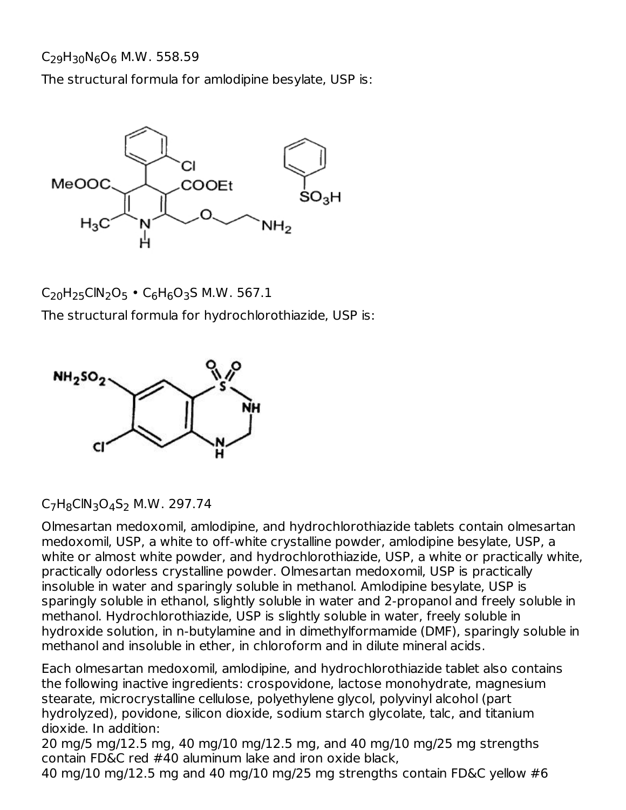C<sub>29</sub>H<sub>30</sub>N<sub>6</sub>O<sub>6</sub> M.W. 558.59

The structural formula for amlodipine besylate, USP is:



 $\mathsf{C}_{20}\mathsf{H}_{25}\mathsf{CIN}_2\mathsf{O}_5\bullet \mathsf{C}_6\mathsf{H}_6\mathsf{O}_3\mathsf{S}$  M.W. 567.1 The structural formula for hydrochlorothiazide, USP is:



C<sub>7</sub>H<sub>8</sub>ClN<sub>3</sub>O<sub>4</sub>S<sub>2</sub> M.W. 297.74

Olmesartan medoxomil, amlodipine, and hydrochlorothiazide tablets contain olmesartan medoxomil, USP, a white to off-white crystalline powder, amlodipine besylate, USP, a white or almost white powder, and hydrochlorothiazide, USP, a white or practically white, practically odorless crystalline powder. Olmesartan medoxomil, USP is practically insoluble in water and sparingly soluble in methanol. Amlodipine besylate, USP is sparingly soluble in ethanol, slightly soluble in water and 2-propanol and freely soluble in methanol. Hydrochlorothiazide, USP is slightly soluble in water, freely soluble in hydroxide solution, in n-butylamine and in dimethylformamide (DMF), sparingly soluble in methanol and insoluble in ether, in chloroform and in dilute mineral acids.

Each olmesartan medoxomil, amlodipine, and hydrochlorothiazide tablet also contains the following inactive ingredients: crospovidone, lactose monohydrate, magnesium stearate, microcrystalline cellulose, polyethylene glycol, polyvinyl alcohol (part hydrolyzed), povidone, silicon dioxide, sodium starch glycolate, talc, and titanium dioxide. In addition:

20 mg/5 mg/12.5 mg, 40 mg/10 mg/12.5 mg, and 40 mg/10 mg/25 mg strengths contain FD&C red #40 aluminum lake and iron oxide black,

40 mg/10 mg/12.5 mg and 40 mg/10 mg/25 mg strengths contain FD&C yellow #6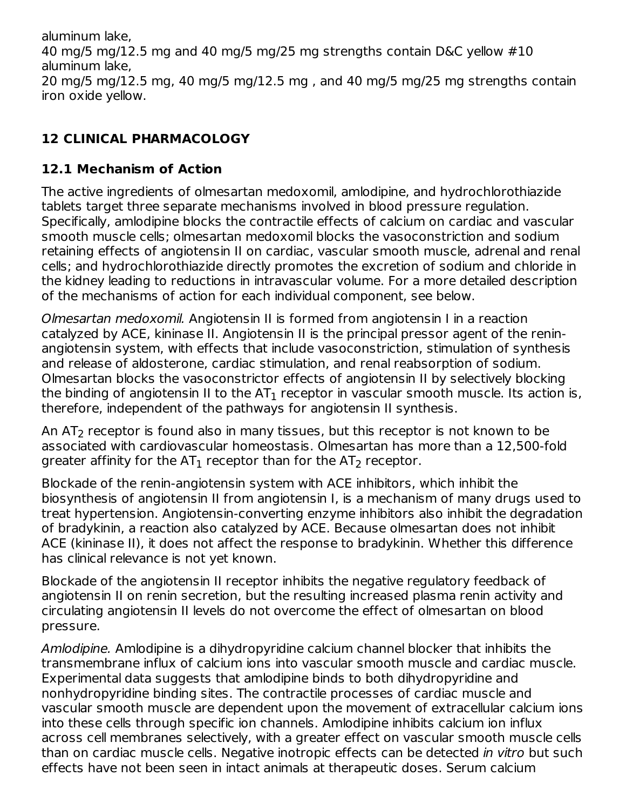aluminum lake, 40 mg/5 mg/12.5 mg and 40 mg/5 mg/25 mg strengths contain D&C yellow #10 aluminum lake, 20 mg/5 mg/12.5 mg, 40 mg/5 mg/12.5 mg , and 40 mg/5 mg/25 mg strengths contain iron oxide yellow.

# **12 CLINICAL PHARMACOLOGY**

## **12.1 Mechanism of Action**

The active ingredients of olmesartan medoxomil, amlodipine, and hydrochlorothiazide tablets target three separate mechanisms involved in blood pressure regulation. Specifically, amlodipine blocks the contractile effects of calcium on cardiac and vascular smooth muscle cells; olmesartan medoxomil blocks the vasoconstriction and sodium retaining effects of angiotensin II on cardiac, vascular smooth muscle, adrenal and renal cells; and hydrochlorothiazide directly promotes the excretion of sodium and chloride in the kidney leading to reductions in intravascular volume. For a more detailed description of the mechanisms of action for each individual component, see below.

Olmesartan medoxomil. Angiotensin II is formed from angiotensin I in a reaction catalyzed by ACE, kininase II. Angiotensin II is the principal pressor agent of the reninangiotensin system, with effects that include vasoconstriction, stimulation of synthesis and release of aldosterone, cardiac stimulation, and renal reabsorption of sodium. Olmesartan blocks the vasoconstrictor effects of angiotensin II by selectively blocking the binding of angiotensin II to the AT $_{\rm 1}$  receptor in vascular smooth muscle. Its action is, therefore, independent of the pathways for angiotensin II synthesis.

An AT $_2$  receptor is found also in many tissues, but this receptor is not known to be associated with cardiovascular homeostasis. Olmesartan has more than a 12,500-fold greater affinity for the AT $_{\rm 1}$  receptor than for the AT $_{\rm 2}$  receptor.

Blockade of the renin-angiotensin system with ACE inhibitors, which inhibit the biosynthesis of angiotensin II from angiotensin I, is a mechanism of many drugs used to treat hypertension. Angiotensin-converting enzyme inhibitors also inhibit the degradation of bradykinin, a reaction also catalyzed by ACE. Because olmesartan does not inhibit ACE (kininase II), it does not affect the response to bradykinin. Whether this difference has clinical relevance is not yet known.

Blockade of the angiotensin II receptor inhibits the negative regulatory feedback of angiotensin II on renin secretion, but the resulting increased plasma renin activity and circulating angiotensin II levels do not overcome the effect of olmesartan on blood pressure.

Amlodipine. Amlodipine is a dihydropyridine calcium channel blocker that inhibits the transmembrane influx of calcium ions into vascular smooth muscle and cardiac muscle. Experimental data suggests that amlodipine binds to both dihydropyridine and nonhydropyridine binding sites. The contractile processes of cardiac muscle and vascular smooth muscle are dependent upon the movement of extracellular calcium ions into these cells through specific ion channels. Amlodipine inhibits calcium ion influx across cell membranes selectively, with a greater effect on vascular smooth muscle cells than on cardiac muscle cells. Negative inotropic effects can be detected in vitro but such effects have not been seen in intact animals at therapeutic doses. Serum calcium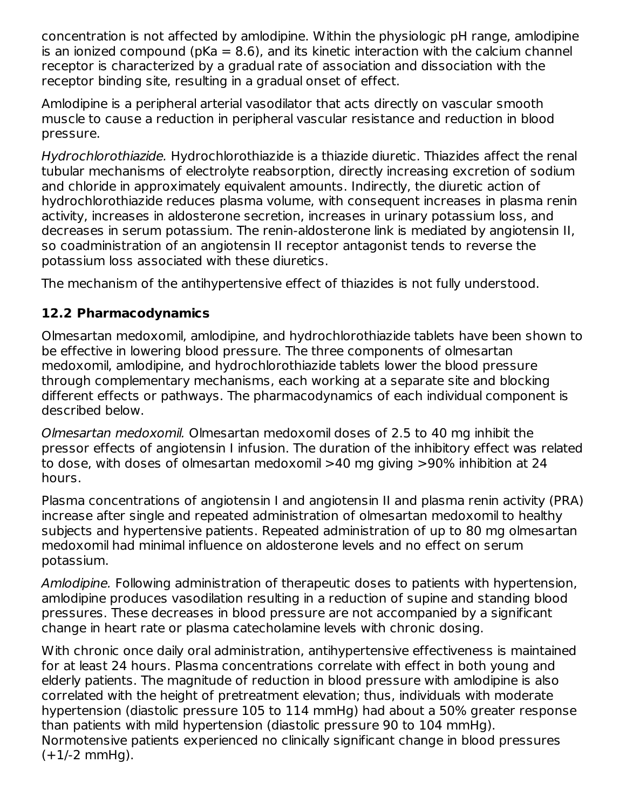concentration is not affected by amlodipine. Within the physiologic pH range, amlodipine is an ionized compound ( $pKa = 8.6$ ), and its kinetic interaction with the calcium channel receptor is characterized by a gradual rate of association and dissociation with the receptor binding site, resulting in a gradual onset of effect.

Amlodipine is a peripheral arterial vasodilator that acts directly on vascular smooth muscle to cause a reduction in peripheral vascular resistance and reduction in blood pressure.

Hydrochlorothiazide. Hydrochlorothiazide is a thiazide diuretic. Thiazides affect the renal tubular mechanisms of electrolyte reabsorption, directly increasing excretion of sodium and chloride in approximately equivalent amounts. Indirectly, the diuretic action of hydrochlorothiazide reduces plasma volume, with consequent increases in plasma renin activity, increases in aldosterone secretion, increases in urinary potassium loss, and decreases in serum potassium. The renin-aldosterone link is mediated by angiotensin II, so coadministration of an angiotensin II receptor antagonist tends to reverse the potassium loss associated with these diuretics.

The mechanism of the antihypertensive effect of thiazides is not fully understood.

# **12.2 Pharmacodynamics**

Olmesartan medoxomil, amlodipine, and hydrochlorothiazide tablets have been shown to be effective in lowering blood pressure. The three components of olmesartan medoxomil, amlodipine, and hydrochlorothiazide tablets lower the blood pressure through complementary mechanisms, each working at a separate site and blocking different effects or pathways. The pharmacodynamics of each individual component is described below.

Olmesartan medoxomil. Olmesartan medoxomil doses of 2.5 to 40 mg inhibit the pressor effects of angiotensin I infusion. The duration of the inhibitory effect was related to dose, with doses of olmesartan medoxomil >40 mg giving >90% inhibition at 24 hours.

Plasma concentrations of angiotensin I and angiotensin II and plasma renin activity (PRA) increase after single and repeated administration of olmesartan medoxomil to healthy subjects and hypertensive patients. Repeated administration of up to 80 mg olmesartan medoxomil had minimal influence on aldosterone levels and no effect on serum potassium.

Amlodipine. Following administration of therapeutic doses to patients with hypertension, amlodipine produces vasodilation resulting in a reduction of supine and standing blood pressures. These decreases in blood pressure are not accompanied by a significant change in heart rate or plasma catecholamine levels with chronic dosing.

With chronic once daily oral administration, antihypertensive effectiveness is maintained for at least 24 hours. Plasma concentrations correlate with effect in both young and elderly patients. The magnitude of reduction in blood pressure with amlodipine is also correlated with the height of pretreatment elevation; thus, individuals with moderate hypertension (diastolic pressure 105 to 114 mmHg) had about a 50% greater response than patients with mild hypertension (diastolic pressure 90 to 104 mmHg). Normotensive patients experienced no clinically significant change in blood pressures  $(+1/-2$  mmHg).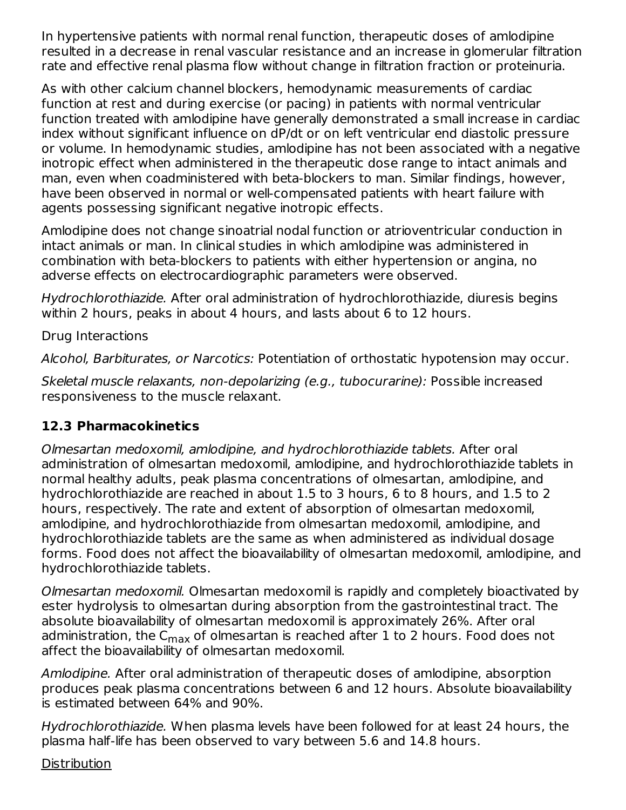In hypertensive patients with normal renal function, therapeutic doses of amlodipine resulted in a decrease in renal vascular resistance and an increase in glomerular filtration rate and effective renal plasma flow without change in filtration fraction or proteinuria.

As with other calcium channel blockers, hemodynamic measurements of cardiac function at rest and during exercise (or pacing) in patients with normal ventricular function treated with amlodipine have generally demonstrated a small increase in cardiac index without significant influence on dP/dt or on left ventricular end diastolic pressure or volume. In hemodynamic studies, amlodipine has not been associated with a negative inotropic effect when administered in the therapeutic dose range to intact animals and man, even when coadministered with beta-blockers to man. Similar findings, however, have been observed in normal or well-compensated patients with heart failure with agents possessing significant negative inotropic effects.

Amlodipine does not change sinoatrial nodal function or atrioventricular conduction in intact animals or man. In clinical studies in which amlodipine was administered in combination with beta-blockers to patients with either hypertension or angina, no adverse effects on electrocardiographic parameters were observed.

Hydrochlorothiazide. After oral administration of hydrochlorothiazide, diuresis begins within 2 hours, peaks in about 4 hours, and lasts about 6 to 12 hours.

Drug Interactions

Alcohol, Barbiturates, or Narcotics: Potentiation of orthostatic hypotension may occur.

Skeletal muscle relaxants, non-depolarizing (e.g., tubocurarine): Possible increased responsiveness to the muscle relaxant.

## **12.3 Pharmacokinetics**

Olmesartan medoxomil, amlodipine, and hydrochlorothiazide tablets. After oral administration of olmesartan medoxomil, amlodipine, and hydrochlorothiazide tablets in normal healthy adults, peak plasma concentrations of olmesartan, amlodipine, and hydrochlorothiazide are reached in about 1.5 to 3 hours, 6 to 8 hours, and 1.5 to 2 hours, respectively. The rate and extent of absorption of olmesartan medoxomil, amlodipine, and hydrochlorothiazide from olmesartan medoxomil, amlodipine, and hydrochlorothiazide tablets are the same as when administered as individual dosage forms. Food does not affect the bioavailability of olmesartan medoxomil, amlodipine, and hydrochlorothiazide tablets.

Olmesartan medoxomil. Olmesartan medoxomil is rapidly and completely bioactivated by ester hydrolysis to olmesartan during absorption from the gastrointestinal tract. The absolute bioavailability of olmesartan medoxomil is approximately 26%. After oral administration, the C<sub>max</sub> of olmesartan is reached after 1 to 2 hours. Food does not affect the bioavailability of olmesartan medoxomil.

Amlodipine. After oral administration of therapeutic doses of amlodipine, absorption produces peak plasma concentrations between 6 and 12 hours. Absolute bioavailability is estimated between 64% and 90%.

Hydrochlorothiazide. When plasma levels have been followed for at least 24 hours, the plasma half-life has been observed to vary between 5.6 and 14.8 hours.

**Distribution**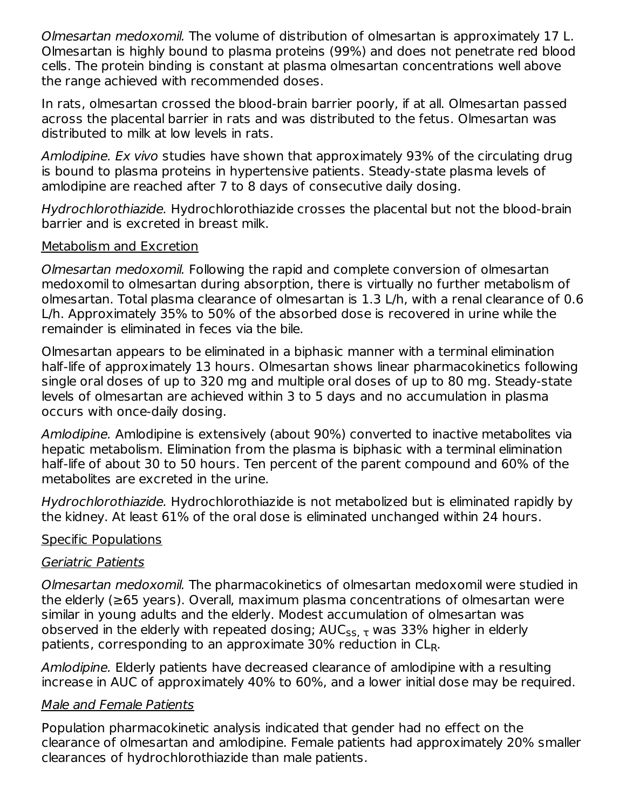Olmesartan medoxomil. The volume of distribution of olmesartan is approximately 17 L. Olmesartan is highly bound to plasma proteins (99%) and does not penetrate red blood cells. The protein binding is constant at plasma olmesartan concentrations well above the range achieved with recommended doses.

In rats, olmesartan crossed the blood-brain barrier poorly, if at all. Olmesartan passed across the placental barrier in rats and was distributed to the fetus. Olmesartan was distributed to milk at low levels in rats.

Amlodipine. Ex vivo studies have shown that approximately 93% of the circulating drug is bound to plasma proteins in hypertensive patients. Steady-state plasma levels of amlodipine are reached after 7 to 8 days of consecutive daily dosing.

Hydrochlorothiazide. Hydrochlorothiazide crosses the placental but not the blood-brain barrier and is excreted in breast milk.

### Metabolism and Excretion

Olmesartan medoxomil. Following the rapid and complete conversion of olmesartan medoxomil to olmesartan during absorption, there is virtually no further metabolism of olmesartan. Total plasma clearance of olmesartan is 1.3 L/h, with a renal clearance of 0.6 L/h. Approximately 35% to 50% of the absorbed dose is recovered in urine while the remainder is eliminated in feces via the bile.

Olmesartan appears to be eliminated in a biphasic manner with a terminal elimination half-life of approximately 13 hours. Olmesartan shows linear pharmacokinetics following single oral doses of up to 320 mg and multiple oral doses of up to 80 mg. Steady-state levels of olmesartan are achieved within 3 to 5 days and no accumulation in plasma occurs with once-daily dosing.

Amlodipine. Amlodipine is extensively (about 90%) converted to inactive metabolites via hepatic metabolism. Elimination from the plasma is biphasic with a terminal elimination half-life of about 30 to 50 hours. Ten percent of the parent compound and 60% of the metabolites are excreted in the urine.

Hydrochlorothiazide. Hydrochlorothiazide is not metabolized but is eliminated rapidly by the kidney. At least 61% of the oral dose is eliminated unchanged within 24 hours.

### Specific Populations

### Geriatric Patients

Olmesartan medoxomil. The pharmacokinetics of olmesartan medoxomil were studied in the elderly (≥65 years). Overall, maximum plasma concentrations of olmesartan were similar in young adults and the elderly. Modest accumulation of olmesartan was observed in the elderly with repeated dosing; AUC<sub>ss, τ</sub> was 33% higher in elderly patients, corresponding to an approximate 30% reduction in  $\mathsf{CL}_\mathsf{R}.$ 

Amlodipine. Elderly patients have decreased clearance of amlodipine with a resulting increase in AUC of approximately 40% to 60%, and a lower initial dose may be required.

### Male and Female Patients

Population pharmacokinetic analysis indicated that gender had no effect on the clearance of olmesartan and amlodipine. Female patients had approximately 20% smaller clearances of hydrochlorothiazide than male patients.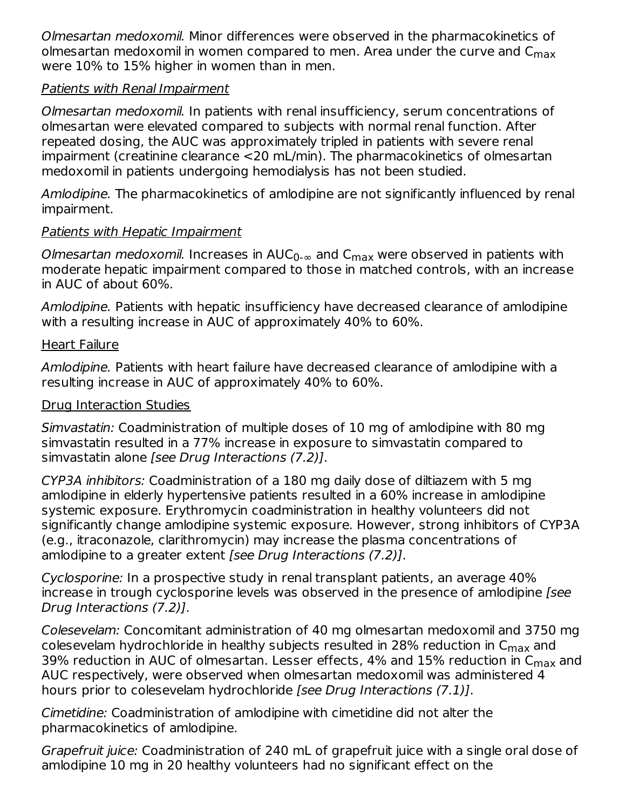Olmesartan medoxomil. Minor differences were observed in the pharmacokinetics of olmesartan medoxomil in women compared to men. Area under the curve and  $\mathsf{C}_{\mathsf{max}}$ were 10% to 15% higher in women than in men.

### Patients with Renal Impairment

Olmesartan medoxomil. In patients with renal insufficiency, serum concentrations of olmesartan were elevated compared to subjects with normal renal function. After repeated dosing, the AUC was approximately tripled in patients with severe renal impairment (creatinine clearance <20 mL/min). The pharmacokinetics of olmesartan medoxomil in patients undergoing hemodialysis has not been studied.

Amlodipine. The pharmacokinetics of amlodipine are not significantly influenced by renal impairment.

### Patients with Hepatic Impairment

*Olmesartan medoxomil.* Increases in AUC<sub>0-∞</sub> and C<sub>max</sub> were observed in patients with moderate hepatic impairment compared to those in matched controls, with an increase in AUC of about 60%.

Amlodipine. Patients with hepatic insufficiency have decreased clearance of amlodipine with a resulting increase in AUC of approximately 40% to 60%.

#### Heart Failure

Amlodipine. Patients with heart failure have decreased clearance of amlodipine with a resulting increase in AUC of approximately 40% to 60%.

#### Drug Interaction Studies

Simvastatin: Coadministration of multiple doses of 10 mg of amlodipine with 80 mg simvastatin resulted in a 77% increase in exposure to simvastatin compared to simvastatin alone [see Drug Interactions (7.2)].

CYP3A inhibitors: Coadministration of a 180 mg daily dose of diltiazem with 5 mg amlodipine in elderly hypertensive patients resulted in a 60% increase in amlodipine systemic exposure. Erythromycin coadministration in healthy volunteers did not significantly change amlodipine systemic exposure. However, strong inhibitors of CYP3A (e.g., itraconazole, clarithromycin) may increase the plasma concentrations of amlodipine to a greater extent [see Drug Interactions (7.2)].

Cyclosporine: In a prospective study in renal transplant patients, an average 40% increase in trough cyclosporine levels was observed in the presence of amlodipine [see Drug Interactions (7.2)].

Colesevelam: Concomitant administration of 40 mg olmesartan medoxomil and 3750 mg colesevelam hydrochloride in healthy subjects resulted in 28% reduction in  ${\sf C}_{\sf max}$  and 39% reduction in AUC of olmesartan. Lesser effects, 4% and  $15\%$  reduction in  $\mathsf{C}_{\mathsf{max}}$  and AUC respectively, were observed when olmesartan medoxomil was administered 4 hours prior to colesevelam hydrochloride [see Drug Interactions (7.1)].

Cimetidine: Coadministration of amlodipine with cimetidine did not alter the pharmacokinetics of amlodipine.

Grapefruit juice: Coadministration of 240 mL of grapefruit juice with a single oral dose of amlodipine 10 mg in 20 healthy volunteers had no significant effect on the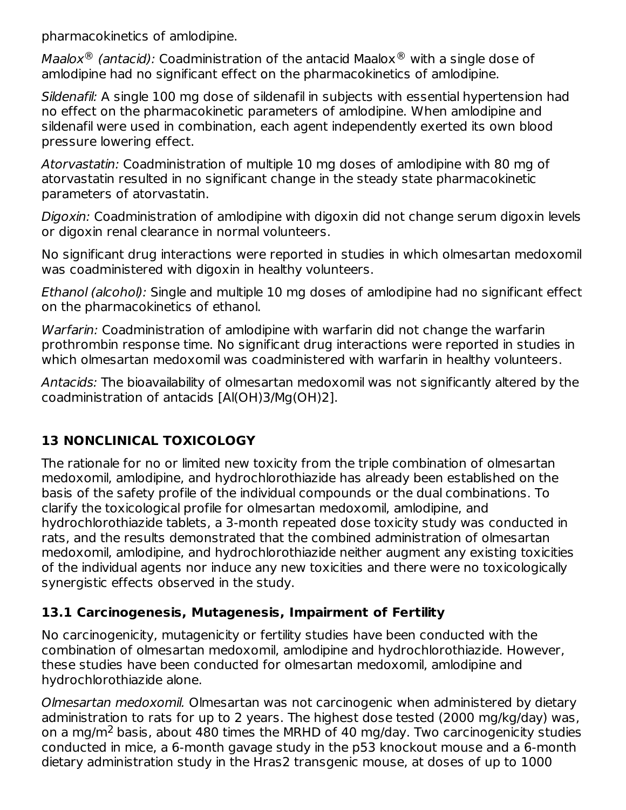pharmacokinetics of amlodipine.

*Maalox* ${}^{\circledR}$  *(antacid):* Coadministration of the antacid Maalox ${}^{\circledR}$  with a single dose of amlodipine had no significant effect on the pharmacokinetics of amlodipine.

Sildenafil: A single 100 mg dose of sildenafil in subjects with essential hypertension had no effect on the pharmacokinetic parameters of amlodipine. When amlodipine and sildenafil were used in combination, each agent independently exerted its own blood pressure lowering effect.

Atorvastatin: Coadministration of multiple 10 mg doses of amlodipine with 80 mg of atorvastatin resulted in no significant change in the steady state pharmacokinetic parameters of atorvastatin.

Digoxin: Coadministration of amlodipine with digoxin did not change serum digoxin levels or digoxin renal clearance in normal volunteers.

No significant drug interactions were reported in studies in which olmesartan medoxomil was coadministered with digoxin in healthy volunteers.

Ethanol (alcohol): Single and multiple 10 mg doses of amlodipine had no significant effect on the pharmacokinetics of ethanol.

Warfarin: Coadministration of amlodipine with warfarin did not change the warfarin prothrombin response time. No significant drug interactions were reported in studies in which olmesartan medoxomil was coadministered with warfarin in healthy volunteers.

Antacids: The bioavailability of olmesartan medoxomil was not significantly altered by the coadministration of antacids [Al(OH)3/Mg(OH)2].

## **13 NONCLINICAL TOXICOLOGY**

The rationale for no or limited new toxicity from the triple combination of olmesartan medoxomil, amlodipine, and hydrochlorothiazide has already been established on the basis of the safety profile of the individual compounds or the dual combinations. To clarify the toxicological profile for olmesartan medoxomil, amlodipine, and hydrochlorothiazide tablets, a 3-month repeated dose toxicity study was conducted in rats, and the results demonstrated that the combined administration of olmesartan medoxomil, amlodipine, and hydrochlorothiazide neither augment any existing toxicities of the individual agents nor induce any new toxicities and there were no toxicologically synergistic effects observed in the study.

### **13.1 Carcinogenesis, Mutagenesis, Impairment of Fertility**

No carcinogenicity, mutagenicity or fertility studies have been conducted with the combination of olmesartan medoxomil, amlodipine and hydrochlorothiazide. However, these studies have been conducted for olmesartan medoxomil, amlodipine and hydrochlorothiazide alone.

Olmesartan medoxomil. Olmesartan was not carcinogenic when administered by dietary administration to rats for up to 2 years. The highest dose tested (2000 mg/kg/day) was, on a mg/m<sup>2</sup> basis, about 480 times the MRHD of 40 mg/day. Two carcinogenicity studies conducted in mice, a 6-month gavage study in the p53 knockout mouse and a 6-month dietary administration study in the Hras2 transgenic mouse, at doses of up to 1000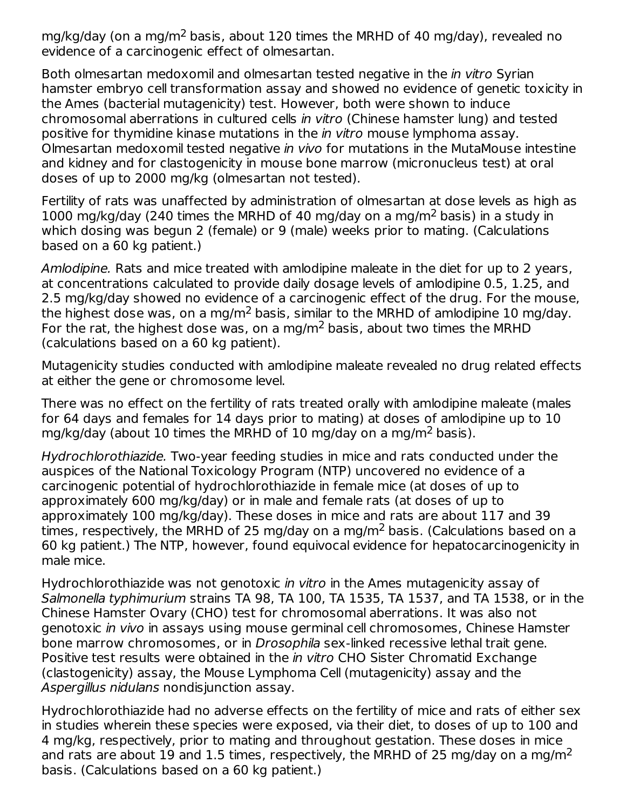mg/kg/day (on a mg/m<sup>2</sup> basis, about 120 times the MRHD of 40 mg/day), revealed no evidence of a carcinogenic effect of olmesartan.

Both olmesartan medoxomil and olmesartan tested negative in the *in vitro* Syrian hamster embryo cell transformation assay and showed no evidence of genetic toxicity in the Ames (bacterial mutagenicity) test. However, both were shown to induce chromosomal aberrations in cultured cells in vitro (Chinese hamster lung) and tested positive for thymidine kinase mutations in the in vitro mouse lymphoma assay. Olmesartan medoxomil tested negative in vivo for mutations in the MutaMouse intestine and kidney and for clastogenicity in mouse bone marrow (micronucleus test) at oral doses of up to 2000 mg/kg (olmesartan not tested).

Fertility of rats was unaffected by administration of olmesartan at dose levels as high as 1000 mg/kg/day (240 times the MRHD of 40 mg/day on a mg/m<sup>2</sup> basis) in a study in which dosing was begun 2 (female) or 9 (male) weeks prior to mating. (Calculations based on a 60 kg patient.)

Amlodipine. Rats and mice treated with amlodipine maleate in the diet for up to 2 years, at concentrations calculated to provide daily dosage levels of amlodipine 0.5, 1.25, and 2.5 mg/kg/day showed no evidence of a carcinogenic effect of the drug. For the mouse, the highest dose was, on a mg/m $^2$  basis, similar to the MRHD of amlodipine 10 mg/day. For the rat, the highest dose was, on a mg/m<sup>2</sup> basis, about two times the MRHD (calculations based on a 60 kg patient).

Mutagenicity studies conducted with amlodipine maleate revealed no drug related effects at either the gene or chromosome level.

There was no effect on the fertility of rats treated orally with amlodipine maleate (males for 64 days and females for 14 days prior to mating) at doses of amlodipine up to 10 mg/kg/day (about 10 times the MRHD of 10 mg/day on a mg/m<sup>2</sup> basis).

Hydrochlorothiazide. Two-year feeding studies in mice and rats conducted under the auspices of the National Toxicology Program (NTP) uncovered no evidence of a carcinogenic potential of hydrochlorothiazide in female mice (at doses of up to approximately 600 mg/kg/day) or in male and female rats (at doses of up to approximately 100 mg/kg/day). These doses in mice and rats are about 117 and 39 times, respectively, the MRHD of 25 mg/day on a mg/m<sup>2</sup> basis. (Calculations based on a 60 kg patient.) The NTP, however, found equivocal evidence for hepatocarcinogenicity in male mice.

Hydrochlorothiazide was not genotoxic *in vitro* in the Ames mutagenicity assay of Salmonella typhimurium strains TA 98, TA 100, TA 1535, TA 1537, and TA 1538, or in the Chinese Hamster Ovary (CHO) test for chromosomal aberrations. It was also not genotoxic in vivo in assays using mouse germinal cell chromosomes, Chinese Hamster bone marrow chromosomes, or in Drosophila sex-linked recessive lethal trait gene. Positive test results were obtained in the *in vitro* CHO Sister Chromatid Exchange (clastogenicity) assay, the Mouse Lymphoma Cell (mutagenicity) assay and the Aspergillus nidulans nondisjunction assay.

Hydrochlorothiazide had no adverse effects on the fertility of mice and rats of either sex in studies wherein these species were exposed, via their diet, to doses of up to 100 and 4 mg/kg, respectively, prior to mating and throughout gestation. These doses in mice and rats are about 19 and 1.5 times, respectively, the MRHD of 25 mg/day on a mg/m<sup>2</sup> basis. (Calculations based on a 60 kg patient.)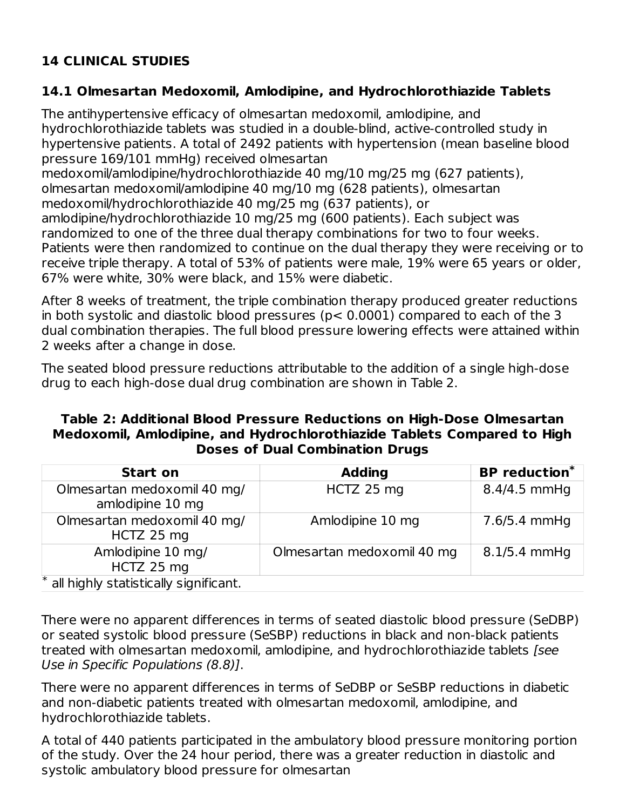## **14 CLINICAL STUDIES**

### **14.1 Olmesartan Medoxomil, Amlodipine, and Hydrochlorothiazide Tablets**

The antihypertensive efficacy of olmesartan medoxomil, amlodipine, and hydrochlorothiazide tablets was studied in a double-blind, active-controlled study in hypertensive patients. A total of 2492 patients with hypertension (mean baseline blood pressure 169/101 mmHg) received olmesartan medoxomil/amlodipine/hydrochlorothiazide 40 mg/10 mg/25 mg (627 patients), olmesartan medoxomil/amlodipine 40 mg/10 mg (628 patients), olmesartan

medoxomil/hydrochlorothiazide 40 mg/25 mg (637 patients), or amlodipine/hydrochlorothiazide 10 mg/25 mg (600 patients). Each subject was randomized to one of the three dual therapy combinations for two to four weeks. Patients were then randomized to continue on the dual therapy they were receiving or to receive triple therapy. A total of 53% of patients were male, 19% were 65 years or older, 67% were white, 30% were black, and 15% were diabetic.

After 8 weeks of treatment, the triple combination therapy produced greater reductions in both systolic and diastolic blood pressures (p< 0.0001) compared to each of the 3 dual combination therapies. The full blood pressure lowering effects were attained within 2 weeks after a change in dose.

The seated blood pressure reductions attributable to the addition of a single high-dose drug to each high-dose dual drug combination are shown in Table 2.

#### **Table 2: Additional Blood Pressure Reductions on High-Dose Olmesartan Medoxomil, Amlodipine, and Hydrochlorothiazide Tablets Compared to High Doses of Dual Combination Drugs**

| <b>Start on</b>                                 | <b>Adding</b>              | <b>BP</b> reduction <sup>*</sup> |
|-------------------------------------------------|----------------------------|----------------------------------|
| Olmesartan medoxomil 40 mg/<br>amlodipine 10 mg | HCTZ 25 mg                 | $8.4/4.5$ mmHg                   |
| Olmesartan medoxomil 40 mg/<br>HCTZ 25 mg       | Amlodipine 10 mg           | 7.6/5.4 mmHg                     |
| Amlodipine 10 mg/<br>HCTZ 25 mg                 | Olmesartan medoxomil 40 mg | $8.1/5.4$ mmHq                   |
| all highly statistically significant.           |                            |                                  |

There were no apparent differences in terms of seated diastolic blood pressure (SeDBP) or seated systolic blood pressure (SeSBP) reductions in black and non-black patients treated with olmesartan medoxomil, amlodipine, and hydrochlorothiazide tablets [see Use in Specific Populations (8.8)].

There were no apparent differences in terms of SeDBP or SeSBP reductions in diabetic and non-diabetic patients treated with olmesartan medoxomil, amlodipine, and hydrochlorothiazide tablets.

A total of 440 patients participated in the ambulatory blood pressure monitoring portion of the study. Over the 24 hour period, there was a greater reduction in diastolic and systolic ambulatory blood pressure for olmesartan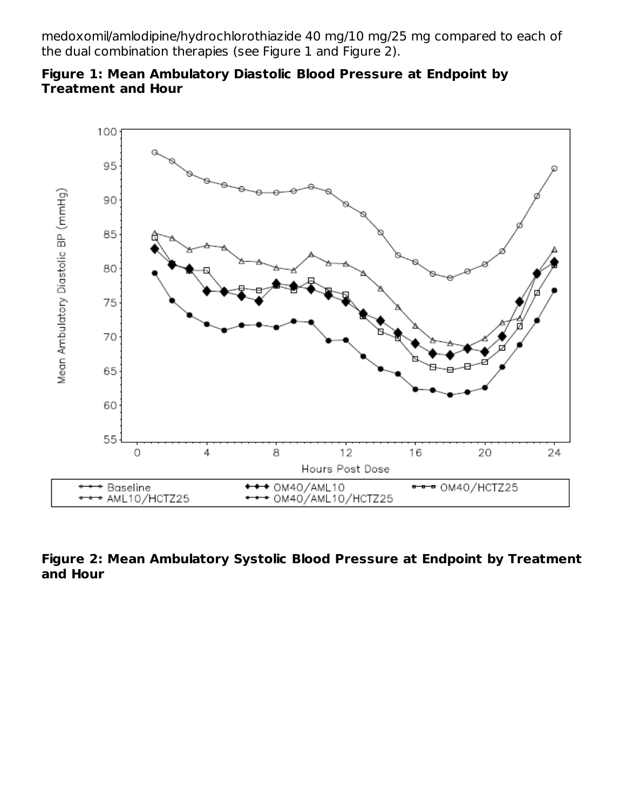medoxomil/amlodipine/hydrochlorothiazide 40 mg/10 mg/25 mg compared to each of the dual combination therapies (see Figure 1 and Figure 2).





#### **Figure 2: Mean Ambulatory Systolic Blood Pressure at Endpoint by Treatment and Hour**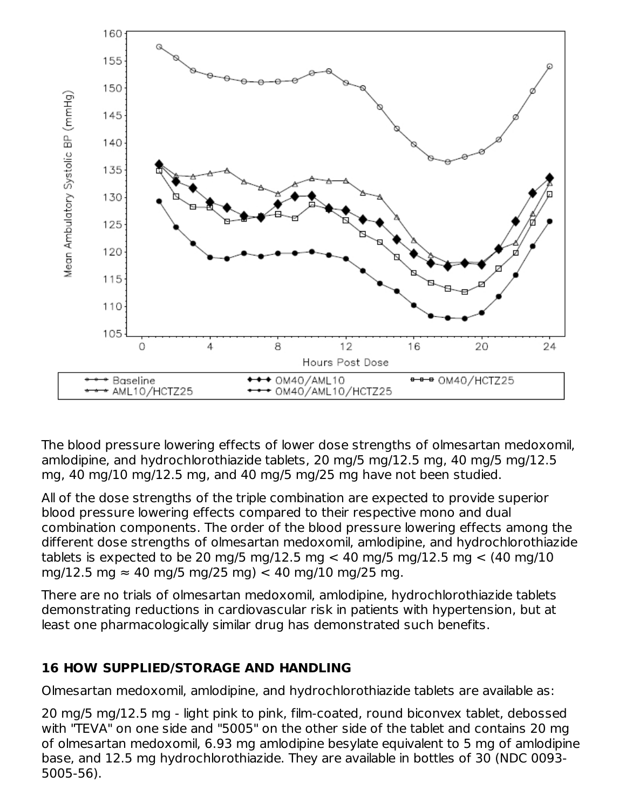

The blood pressure lowering effects of lower dose strengths of olmesartan medoxomil, amlodipine, and hydrochlorothiazide tablets, 20 mg/5 mg/12.5 mg, 40 mg/5 mg/12.5 mg, 40 mg/10 mg/12.5 mg, and 40 mg/5 mg/25 mg have not been studied.

All of the dose strengths of the triple combination are expected to provide superior blood pressure lowering effects compared to their respective mono and dual combination components. The order of the blood pressure lowering effects among the different dose strengths of olmesartan medoxomil, amlodipine, and hydrochlorothiazide tablets is expected to be 20 mg/5 mg/12.5 mg  $<$  40 mg/5 mg/12.5 mg  $<$  (40 mg/10 mg/12.5 mg ≈ 40 mg/5 mg/25 mg) < 40 mg/10 mg/25 mg.

There are no trials of olmesartan medoxomil, amlodipine, hydrochlorothiazide tablets demonstrating reductions in cardiovascular risk in patients with hypertension, but at least one pharmacologically similar drug has demonstrated such benefits.

## **16 HOW SUPPLIED/STORAGE AND HANDLING**

Olmesartan medoxomil, amlodipine, and hydrochlorothiazide tablets are available as:

20 mg/5 mg/12.5 mg - light pink to pink, film-coated, round biconvex tablet, debossed with "TEVA" on one side and "5005" on the other side of the tablet and contains 20 mg of olmesartan medoxomil, 6.93 mg amlodipine besylate equivalent to 5 mg of amlodipine base, and 12.5 mg hydrochlorothiazide. They are available in bottles of 30 (NDC 0093- 5005-56).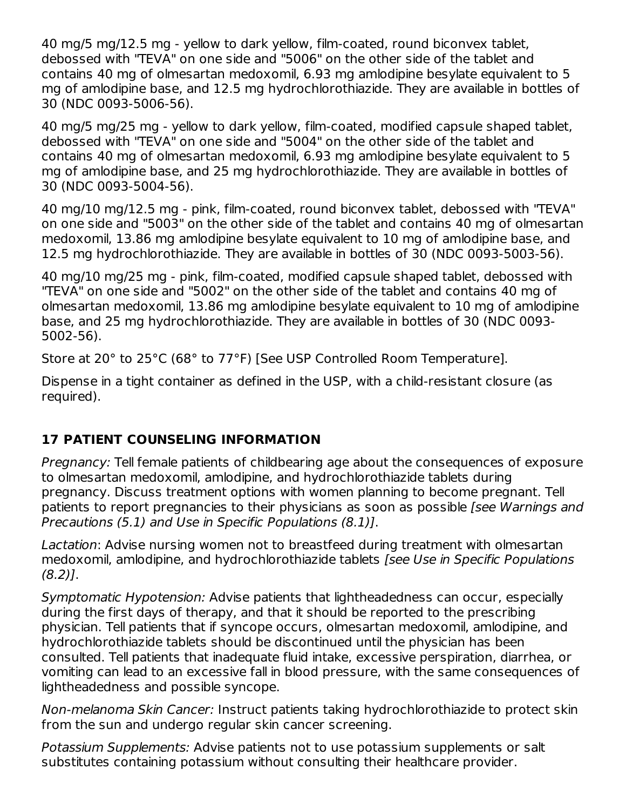40 mg/5 mg/12.5 mg - yellow to dark yellow, film-coated, round biconvex tablet, debossed with "TEVA" on one side and "5006" on the other side of the tablet and contains 40 mg of olmesartan medoxomil, 6.93 mg amlodipine besylate equivalent to 5 mg of amlodipine base, and 12.5 mg hydrochlorothiazide. They are available in bottles of 30 (NDC 0093-5006-56).

40 mg/5 mg/25 mg - yellow to dark yellow, film-coated, modified capsule shaped tablet, debossed with "TEVA" on one side and "5004" on the other side of the tablet and contains 40 mg of olmesartan medoxomil, 6.93 mg amlodipine besylate equivalent to 5 mg of amlodipine base, and 25 mg hydrochlorothiazide. They are available in bottles of 30 (NDC 0093-5004-56).

40 mg/10 mg/12.5 mg - pink, film-coated, round biconvex tablet, debossed with "TEVA" on one side and "5003" on the other side of the tablet and contains 40 mg of olmesartan medoxomil, 13.86 mg amlodipine besylate equivalent to 10 mg of amlodipine base, and 12.5 mg hydrochlorothiazide. They are available in bottles of 30 (NDC 0093-5003-56).

40 mg/10 mg/25 mg - pink, film-coated, modified capsule shaped tablet, debossed with "TEVA" on one side and "5002" on the other side of the tablet and contains 40 mg of olmesartan medoxomil, 13.86 mg amlodipine besylate equivalent to 10 mg of amlodipine base, and 25 mg hydrochlorothiazide. They are available in bottles of 30 (NDC 0093- 5002-56).

Store at 20° to 25°C (68° to 77°F) [See USP Controlled Room Temperature].

Dispense in a tight container as defined in the USP, with a child-resistant closure (as required).

## **17 PATIENT COUNSELING INFORMATION**

Pregnancy: Tell female patients of childbearing age about the consequences of exposure to olmesartan medoxomil, amlodipine, and hydrochlorothiazide tablets during pregnancy. Discuss treatment options with women planning to become pregnant. Tell patients to report pregnancies to their physicians as soon as possible [see Warnings and Precautions (5.1) and Use in Specific Populations (8.1)].

Lactation: Advise nursing women not to breastfeed during treatment with olmesartan medoxomil, amlodipine, and hydrochlorothiazide tablets [see Use in Specific Populations (8.2)].

Symptomatic Hypotension: Advise patients that lightheadedness can occur, especially during the first days of therapy, and that it should be reported to the prescribing physician. Tell patients that if syncope occurs, olmesartan medoxomil, amlodipine, and hydrochlorothiazide tablets should be discontinued until the physician has been consulted. Tell patients that inadequate fluid intake, excessive perspiration, diarrhea, or vomiting can lead to an excessive fall in blood pressure, with the same consequences of lightheadedness and possible syncope.

Non-melanoma Skin Cancer: Instruct patients taking hydrochlorothiazide to protect skin from the sun and undergo regular skin cancer screening.

Potassium Supplements: Advise patients not to use potassium supplements or salt substitutes containing potassium without consulting their healthcare provider.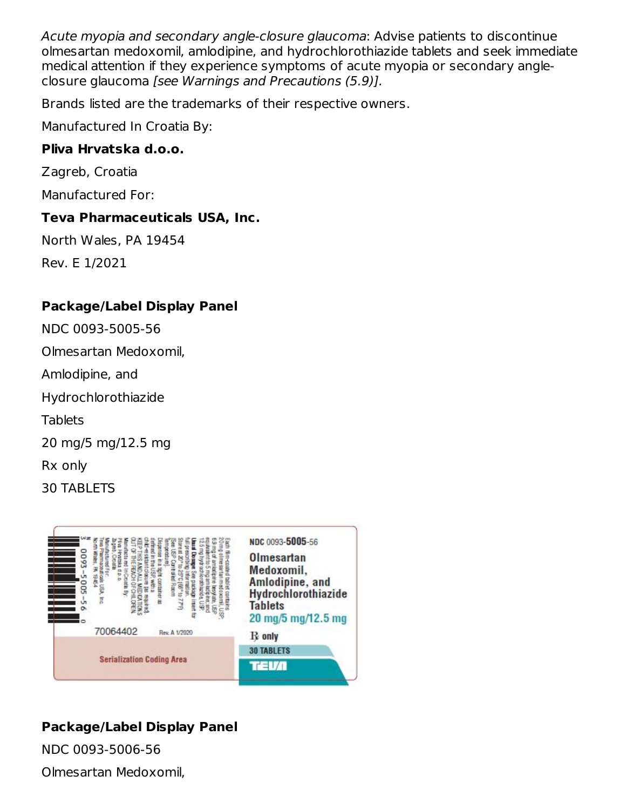Acute myopia and secondary angle-closure glaucoma: Advise patients to discontinue olmesartan medoxomil, amlodipine, and hydrochlorothiazide tablets and seek immediate medical attention if they experience symptoms of acute myopia or secondary angleclosure glaucoma [see Warnings and Precautions (5.9)].

Brands listed are the trademarks of their respective owners.

Manufactured In Croatia By:

## **Pliva Hrvatska d.o.o.**

Zagreb, Croatia

Manufactured For:

### **Teva Pharmaceuticals USA, Inc.**

North Wales, PA 19454

Rev. E 1/2021

## **Package/Label Display Panel**

NDC 0093-5005-56

Olmesartan Medoxomil,

Amlodipine, and

Hydrochlorothiazide

**Tablets** 

20 mg/5 mg/12.5 mg

Rx only

30 TABLETS



# **Package/Label Display Panel**

NDC 0093-5006-56

Olmesartan Medoxomil,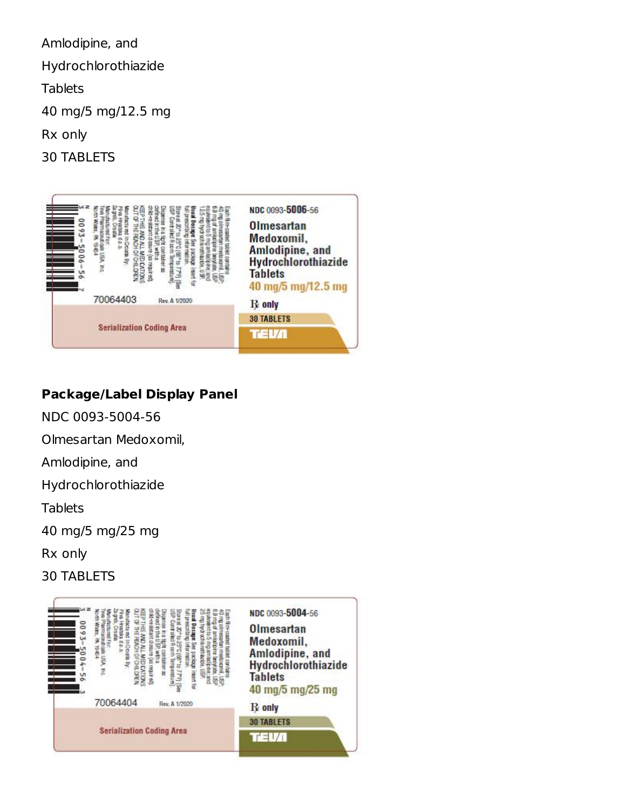Amlodipine, and

Hydrochlorothiazide

**Tablets** 

40 mg/5 mg/12.5 mg

Rx only

30 TABLETS



## **Package/Label Display Panel**

NDC 0093-5004-56

Olmesartan Medoxomil,

Amlodipine, and

Hydrochlorothiazide

**Tablets** 

40 mg/5 mg/25 mg

Rx only

30 TABLETS

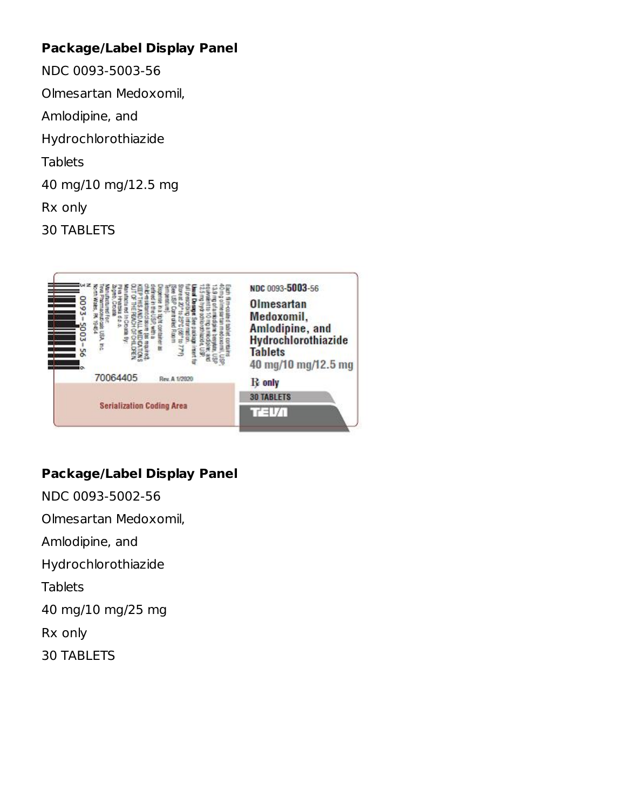## **Package/Label Display Panel**

NDC 0093-5003-56

Olmesartan Medoxomil,

Amlodipine, and

Hydrochlorothiazide

**Tablets** 

40 mg/10 mg/12.5 mg

Rx only

30 TABLETS



# **Package/Label Display Panel**

NDC 0093-5002-56 Olmesartan Medoxomil, Amlodipine, and Hydrochlorothiazide **Tablets** 40 mg/10 mg/25 mg Rx only

30 TABLETS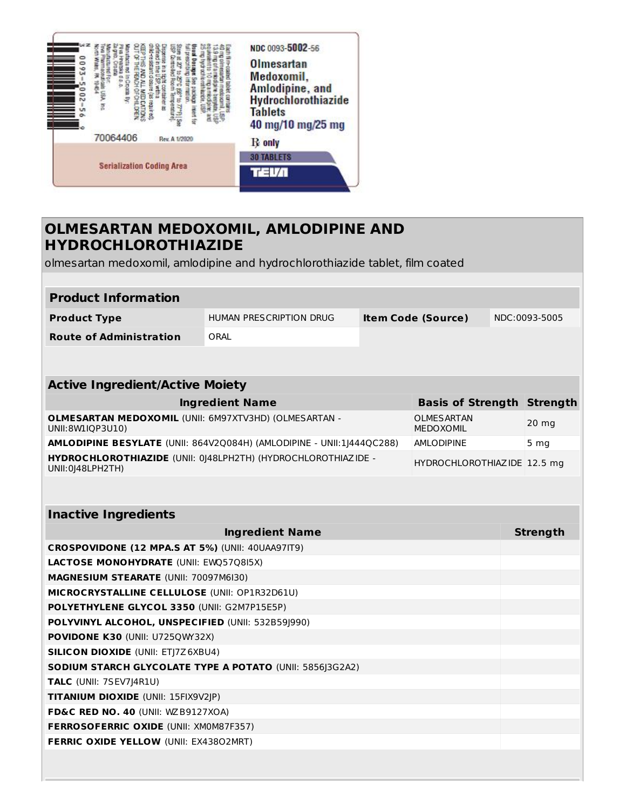

## **OLMESARTAN MEDOXOMIL, AMLODIPINE AND HYDROCHLOROTHIAZIDE**

olmesartan medoxomil, amlodipine and hydrochlorothiazide tablet, film coated

| UITICSULUITTIICUVAUTIIII, UITIIVUIPIITC UHU TIYUTUCHIUTUUTIIUZIUC LUDICI, IIIITI CUUCU |                         |                                        |                 |
|----------------------------------------------------------------------------------------|-------------------------|----------------------------------------|-----------------|
|                                                                                        |                         |                                        |                 |
| <b>Product Information</b>                                                             |                         |                                        |                 |
| <b>Product Type</b>                                                                    | HUMAN PRESCRIPTION DRUG | <b>Item Code (Source)</b>              | NDC:0093-5005   |
| <b>Route of Administration</b>                                                         | ORAL                    |                                        |                 |
|                                                                                        |                         |                                        |                 |
|                                                                                        |                         |                                        |                 |
| <b>Active Ingredient/Active Moiety</b>                                                 |                         |                                        |                 |
|                                                                                        | <b>Ingredient Name</b>  | <b>Basis of Strength Strength</b>      |                 |
| OLMESARTAN MEDOXOMIL (UNII: 6M97XTV3HD) (OLMESARTAN -<br>UNII:8W1IQP3U10)              |                         | <b>OLMES ARTAN</b><br><b>MEDOXOMIL</b> | $20 \text{ mg}$ |
| AMLODIPINE BESYLATE (UNII: 864V2Q084H) (AMLODIPINE - UNII:1 444QC288)                  |                         | <b>AMLODIPINE</b>                      | 5 <sub>mg</sub> |
| HYDROCHLOROTHIAZIDE (UNII: 0]48LPH2TH) (HYDROCHLOROTHIAZIDE -<br>UNII:0J48LPH2TH)      |                         | HYDROCHLOROTHIAZIDE 12.5 mg            |                 |
|                                                                                        |                         |                                        |                 |
|                                                                                        |                         |                                        |                 |
| <b>Inactive Ingredients</b>                                                            |                         |                                        |                 |
|                                                                                        | <b>Ingredient Name</b>  |                                        | <b>Strength</b> |
| <b>CROSPOVIDONE (12 MPA.S AT 5%) (UNII: 40UAA97IT9)</b>                                |                         |                                        |                 |
| LACTOSE MONOHYDRATE (UNII: EWQ57Q8I5X)                                                 |                         |                                        |                 |
| <b>MAGNESIUM STEARATE (UNII: 70097M6I30)</b>                                           |                         |                                        |                 |
| MICROCRYSTALLINE CELLULOSE (UNII: OP1R32D61U)                                          |                         |                                        |                 |
| POLYETHYLENE GLYCOL 3350 (UNII: G2M7P15E5P)                                            |                         |                                        |                 |
| POLYVINYL ALCOHOL, UNSPECIFIED (UNII: 532B59J990)                                      |                         |                                        |                 |
| POVIDONE K30 (UNII: U725QWY32X)                                                        |                         |                                        |                 |
| <b>SILICON DIOXIDE (UNII: ETJ7Z6XBU4)</b>                                              |                         |                                        |                 |
| SODIUM STARCH GLYCOLATE TYPE A POTATO (UNII: 5856J3G2A2)                               |                         |                                        |                 |
| TALC (UNII: 7SEV7J4R1U)                                                                |                         |                                        |                 |
| TITANIUM DIOXIDE (UNII: 15FIX9V2JP)                                                    |                         |                                        |                 |
| FD&C RED NO. 40 (UNII: WZB9127XOA)                                                     |                         |                                        |                 |
| <b>FERROSOFERRIC OXIDE (UNII: XMOM87F357)</b>                                          |                         |                                        |                 |
| <b>FERRIC OXIDE YELLOW (UNII: EX43802MRT)</b>                                          |                         |                                        |                 |
|                                                                                        |                         |                                        |                 |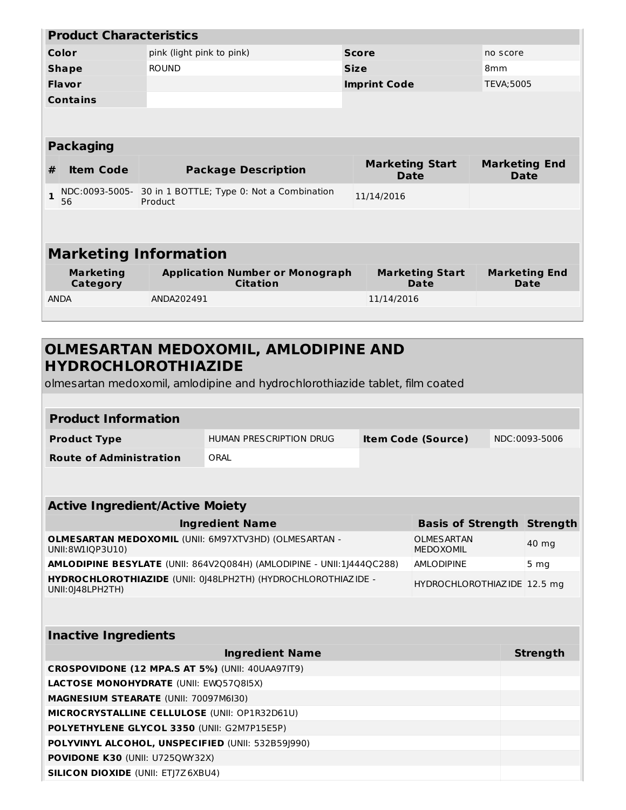| pink (light pink to pink)<br><b>Score</b><br>no score<br><b>ROUND</b><br><b>Size</b><br>8 <sub>mm</sub><br>TEVA; 5005<br><b>Imprint Code</b><br><b>Marketing End</b><br><b>Marketing Start</b><br><b>Item Code</b><br><b>Package Description</b><br><b>Date</b><br><b>Date</b><br>30 in 1 BOTTLE; Type 0: Not a Combination<br>NDC:0093-5005-<br>$\mathbf{1}$<br>11/14/2016<br>56<br>Product<br><b>Marketing Information</b><br><b>Application Number or Monograph</b><br><b>Marketing</b><br><b>Marketing Start</b><br><b>Marketing End</b><br><b>Citation</b><br><b>Date</b><br>Category<br><b>Date</b><br>ANDA202491<br>11/14/2016 |                  | <b>Product Characteristics</b> |  |
|---------------------------------------------------------------------------------------------------------------------------------------------------------------------------------------------------------------------------------------------------------------------------------------------------------------------------------------------------------------------------------------------------------------------------------------------------------------------------------------------------------------------------------------------------------------------------------------------------------------------------------------|------------------|--------------------------------|--|
|                                                                                                                                                                                                                                                                                                                                                                                                                                                                                                                                                                                                                                       | Color            |                                |  |
|                                                                                                                                                                                                                                                                                                                                                                                                                                                                                                                                                                                                                                       | <b>Shape</b>     |                                |  |
|                                                                                                                                                                                                                                                                                                                                                                                                                                                                                                                                                                                                                                       | <b>Flavor</b>    |                                |  |
|                                                                                                                                                                                                                                                                                                                                                                                                                                                                                                                                                                                                                                       | <b>Contains</b>  |                                |  |
|                                                                                                                                                                                                                                                                                                                                                                                                                                                                                                                                                                                                                                       |                  |                                |  |
|                                                                                                                                                                                                                                                                                                                                                                                                                                                                                                                                                                                                                                       | <b>Packaging</b> |                                |  |
|                                                                                                                                                                                                                                                                                                                                                                                                                                                                                                                                                                                                                                       | #                |                                |  |
|                                                                                                                                                                                                                                                                                                                                                                                                                                                                                                                                                                                                                                       |                  |                                |  |
|                                                                                                                                                                                                                                                                                                                                                                                                                                                                                                                                                                                                                                       |                  |                                |  |
|                                                                                                                                                                                                                                                                                                                                                                                                                                                                                                                                                                                                                                       |                  |                                |  |
|                                                                                                                                                                                                                                                                                                                                                                                                                                                                                                                                                                                                                                       |                  |                                |  |
|                                                                                                                                                                                                                                                                                                                                                                                                                                                                                                                                                                                                                                       | <b>ANDA</b>      |                                |  |
|                                                                                                                                                                                                                                                                                                                                                                                                                                                                                                                                                                                                                                       |                  |                                |  |
|                                                                                                                                                                                                                                                                                                                                                                                                                                                                                                                                                                                                                                       |                  |                                |  |
| <b>OLMESARTAN MEDOXOMIL, AMLODIPINE AND</b>                                                                                                                                                                                                                                                                                                                                                                                                                                                                                                                                                                                           |                  |                                |  |
| <b>HYDROCHLOROTHIAZIDE</b>                                                                                                                                                                                                                                                                                                                                                                                                                                                                                                                                                                                                            |                  |                                |  |
| olmesartan medoxomil, amlodipine and hydrochlorothiazide tablet, film coated                                                                                                                                                                                                                                                                                                                                                                                                                                                                                                                                                          |                  |                                |  |
|                                                                                                                                                                                                                                                                                                                                                                                                                                                                                                                                                                                                                                       |                  |                                |  |
| <b>Product Information</b>                                                                                                                                                                                                                                                                                                                                                                                                                                                                                                                                                                                                            |                  |                                |  |

| <b>Product Type</b>            | HUMAN PRESCRIPTION DRUG | <b>Item Code (Source)</b> | NDC:0093-5006 |
|--------------------------------|-------------------------|---------------------------|---------------|
| <b>Route of Administration</b> | ORAL                    |                           |               |

| <b>Active Ingredient/Active Moiety</b>                                            |                                        |                 |
|-----------------------------------------------------------------------------------|----------------------------------------|-----------------|
| <b>Ingredient Name</b>                                                            | <b>Basis of Strength Strength</b>      |                 |
| <b>OLMESARTAN MEDOXOMIL (UNII: 6M97XTV3HD) (OLMESARTAN -</b><br>UNII:8WIIQP3U10)  | <b>OLMES ARTAN</b><br><b>MEDOXOMIL</b> | 40 mg           |
| AMLODIPINE BESYLATE (UNII: 864V2Q084H) (AMLODIPINE - UNII: 1 444QC288)            | <b>AMLODIPINE</b>                      | 5 <sub>mg</sub> |
| HYDROCHLOROTHIAZIDE (UNII: 0)48LPH2TH) (HYDROCHLOROTHIAZIDE -<br>UNII:0148LPH2TH) | HYDROCHLOROTHIAZIDE 12.5 mg            |                 |

| <b>Inactive Ingredients</b>                             |                 |
|---------------------------------------------------------|-----------------|
| <b>Ingredient Name</b>                                  | <b>Strength</b> |
| <b>CROSPOVIDONE (12 MPA.S AT 5%) (UNII: 40UAA97IT9)</b> |                 |
| <b>LACTOSE MONOHYDRATE (UNII: EWQ57Q8I5X)</b>           |                 |
| <b>MAGNESIUM STEARATE (UNII: 70097M6I30)</b>            |                 |
| <b>MICROCRYSTALLINE CELLULOSE (UNII: OP1R32D61U)</b>    |                 |
| <b>POLYETHYLENE GLYCOL 3350 (UNII: G2M7P15E5P)</b>      |                 |
| POLYVINYL ALCOHOL, UNSPECIFIED (UNII: 532B59J990)       |                 |
| <b>POVIDONE K30 (UNII: U7250WY32X)</b>                  |                 |
| <b>SILICON DIOXIDE (UNII: ETJ7Z6XBU4)</b>               |                 |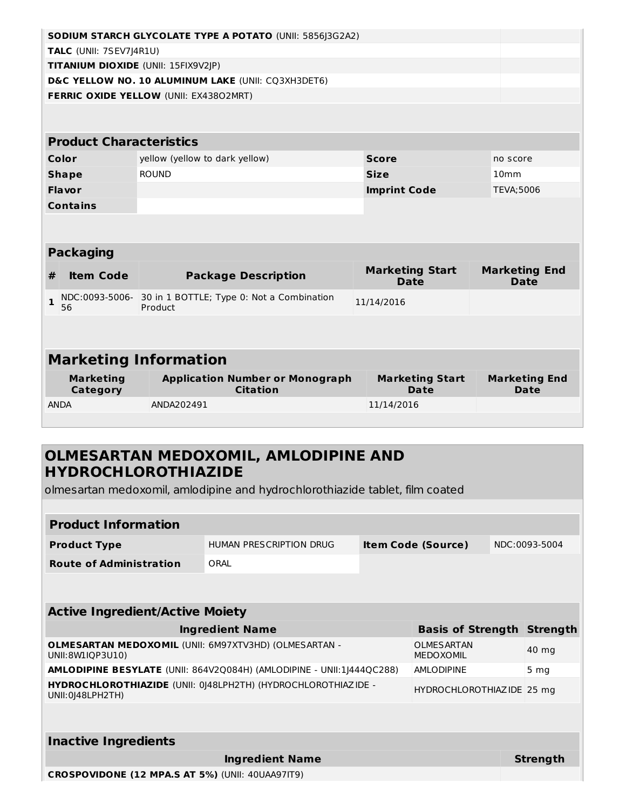|              |                                | SODIUM STARCH GLYCOLATE TYPE A POTATO (UNII: 5856J3G2A2)            |                                       |                                     |
|--------------|--------------------------------|---------------------------------------------------------------------|---------------------------------------|-------------------------------------|
|              | TALC (UNII: 7SEV7J4R1U)        |                                                                     |                                       |                                     |
|              |                                | TITANIUM DIOXIDE (UNII: 15FIX9V2JP)                                 |                                       |                                     |
|              |                                | D&C YELLOW NO. 10 ALUMINUM LAKE (UNII: CQ3XH3DET6)                  |                                       |                                     |
|              |                                | <b>FERRIC OXIDE YELLOW (UNII: EX43802MRT)</b>                       |                                       |                                     |
|              |                                |                                                                     |                                       |                                     |
|              |                                |                                                                     |                                       |                                     |
|              | <b>Product Characteristics</b> |                                                                     |                                       |                                     |
|              | Color                          | yellow (yellow to dark yellow)                                      | <b>Score</b>                          | no score                            |
|              | <b>Shape</b>                   | <b>ROUND</b>                                                        | <b>Size</b>                           | 10 <sub>mm</sub>                    |
|              | Flavor                         |                                                                     | <b>Imprint Code</b>                   | <b>TEVA;5006</b>                    |
|              | <b>Contains</b>                |                                                                     |                                       |                                     |
|              |                                |                                                                     |                                       |                                     |
|              |                                |                                                                     |                                       |                                     |
|              | <b>Packaging</b>               |                                                                     |                                       |                                     |
| #            | <b>Item Code</b>               | <b>Package Description</b>                                          | <b>Marketing Start</b><br><b>Date</b> | <b>Marketing End</b><br><b>Date</b> |
| $\mathbf{1}$ | 56                             | NDC:0093-5006- 30 in 1 BOTTLE; Type 0: Not a Combination<br>Product | 11/14/2016                            |                                     |
|              |                                |                                                                     |                                       |                                     |
|              |                                |                                                                     |                                       |                                     |
|              |                                | <b>Marketing Information</b>                                        |                                       |                                     |
|              |                                |                                                                     |                                       |                                     |
|              | <b>Marketing</b><br>Category   | <b>Application Number or Monograph</b><br><b>Citation</b>           | <b>Marketing Start</b><br><b>Date</b> | <b>Marketing End</b><br><b>Date</b> |
| <b>ANDA</b>  |                                | ANDA202491                                                          | 11/14/2016                            |                                     |
|              |                                |                                                                     |                                       |                                     |
|              |                                |                                                                     |                                       |                                     |
|              |                                |                                                                     |                                       |                                     |
|              |                                | OLMESARTAN MEDOXOMIL, AMLODIPINE AND                                |                                       |                                     |
|              |                                | <b>HYDROCHLOROTHIAZIDE</b>                                          |                                       |                                     |

olmesartan medoxomil, amlodipine and hydrochlorothiazide tablet, film coated

| <b>Product Information</b>                                                        |                         |                                   |                 |
|-----------------------------------------------------------------------------------|-------------------------|-----------------------------------|-----------------|
| <b>Product Type</b>                                                               | HUMAN PRESCRIPTION DRUG | <b>Item Code (Source)</b>         | NDC:0093-5004   |
| <b>Route of Administration</b>                                                    | ORAI                    |                                   |                 |
|                                                                                   |                         |                                   |                 |
|                                                                                   |                         |                                   |                 |
| <b>Active Ingredient/Active Moiety</b>                                            |                         |                                   |                 |
|                                                                                   | <b>Ingredient Name</b>  | <b>Basis of Strength Strength</b> |                 |
| <b>OLMESARTAN MEDOXOMIL (UNII: 6M97XTV3HD) (OLMESARTAN -</b><br>UNII:8W1IOP3U10)  |                         | <b>OLMES ARTAN</b><br>MEDOXOMIL   | 40 mg           |
| AMLODIPINE BESYLATE (UNII: 864V2Q084H) (AMLODIPINE - UNII:1J444QC288)             |                         | <b>AMI ODIPINE</b>                | 5 <sub>mg</sub> |
| HYDROCHLOROTHIAZIDE (UNII: 0)48LPH2TH) (HYDROCHLOROTHIAZIDE -<br>UNII:0148LPH2TH) |                         | HYDROCHLOROTHIAZIDE 25 mg         |                 |
|                                                                                   |                         |                                   |                 |
| <b>Inactive Ingredients</b>                                                       |                         |                                   |                 |
|                                                                                   | <b>Ingredient Name</b>  |                                   | <b>Strength</b> |
| <b>CROSPOVIDONE (12 MPA.S AT 5%) (UNII: 40UAA97IT9)</b>                           |                         |                                   |                 |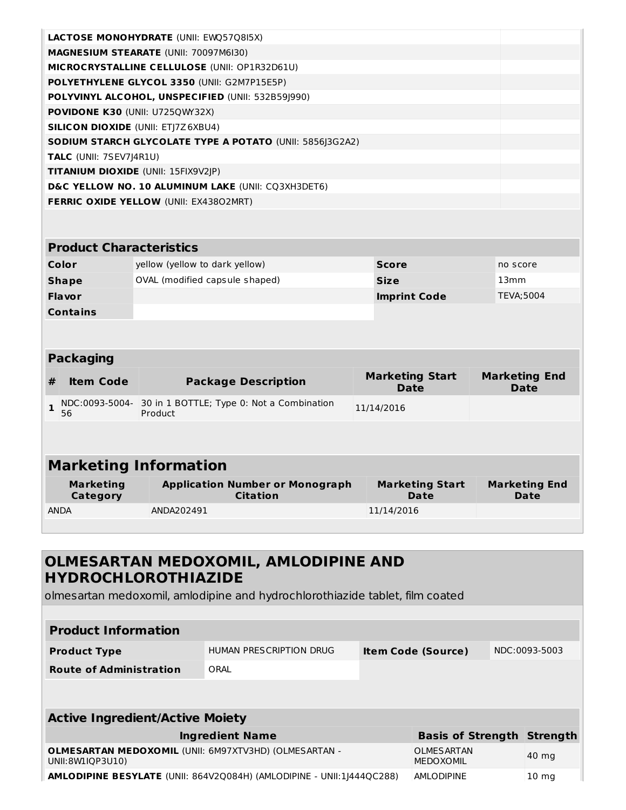|                                      | <b>LACTOSE MONOHYDRATE (UNII: EWQ57Q8I5X)</b>             |                                       |                              |
|--------------------------------------|-----------------------------------------------------------|---------------------------------------|------------------------------|
|                                      | <b>MAGNESIUM STEARATE (UNII: 70097M6I30)</b>              |                                       |                              |
|                                      | MICROCRYSTALLINE CELLULOSE (UNII: OP1R32D61U)             |                                       |                              |
|                                      | POLYETHYLENE GLYCOL 3350 (UNII: G2M7P15E5P)               |                                       |                              |
|                                      | POLYVINYL ALCOHOL, UNSPECIFIED (UNII: 532B59J990)         |                                       |                              |
| POVIDONE K30 (UNII: U725QWY32X)      |                                                           |                                       |                              |
|                                      | <b>SILICON DIOXIDE (UNII: ETJ7Z6XBU4)</b>                 |                                       |                              |
|                                      | SODIUM STARCH GLYCOLATE TYPE A POTATO (UNII: 5856]3G2A2)  |                                       |                              |
| <b>TALC</b> (UNII: 7SEV7J4R1U)       |                                                           |                                       |                              |
|                                      | TITANIUM DIOXIDE (UNII: 15FIX9V2JP)                       |                                       |                              |
|                                      | D&C YELLOW NO. 10 ALUMINUM LAKE (UNII: CQ3XH3DET6)        |                                       |                              |
|                                      | FERRIC OXIDE YELLOW (UNII: EX43802MRT)                    |                                       |                              |
|                                      |                                                           |                                       |                              |
|                                      |                                                           |                                       |                              |
| <b>Product Characteristics</b>       |                                                           |                                       |                              |
| Color                                | yellow (yellow to dark yellow)                            | <b>Score</b>                          | no score                     |
| <b>Shape</b>                         | OVAL (modified capsule shaped)                            | <b>Size</b>                           | 13mm                         |
|                                      |                                                           |                                       |                              |
| <b>Flavor</b>                        |                                                           | <b>Imprint Code</b>                   | <b>TEVA:5004</b>             |
| <b>Contains</b>                      |                                                           |                                       |                              |
|                                      |                                                           |                                       |                              |
|                                      |                                                           |                                       |                              |
| <b>Packaging</b>                     |                                                           |                                       |                              |
| <b>Item Code</b><br>#                | <b>Package Description</b>                                | <b>Marketing Start</b><br><b>Date</b> | <b>Marketing End</b><br>Date |
| NDC:0093-5004-<br>$\mathbf{1}$<br>56 | 30 in 1 BOTTLE; Type 0: Not a Combination<br>Product      | 11/14/2016                            |                              |
|                                      |                                                           |                                       |                              |
|                                      |                                                           |                                       |                              |
|                                      | <b>Marketing Information</b>                              |                                       |                              |
| <b>Marketing</b><br>Category         | <b>Application Number or Monograph</b><br><b>Citation</b> | <b>Marketing Start</b><br>Date        | <b>Marketing End</b><br>Date |

# **OLMESARTAN MEDOXOMIL, AMLODIPINE AND HYDROCHLOROTHIAZIDE**

olmesartan medoxomil, amlodipine and hydrochlorothiazide tablet, film coated

| <b>Product Information</b>                                                       |                         |  |                                        |  |                 |
|----------------------------------------------------------------------------------|-------------------------|--|----------------------------------------|--|-----------------|
| <b>Product Type</b>                                                              | HUMAN PRESCRIPTION DRUG |  | <b>Item Code (Source)</b>              |  | NDC:0093-5003   |
| <b>Route of Administration</b>                                                   | ORAI                    |  |                                        |  |                 |
|                                                                                  |                         |  |                                        |  |                 |
| <b>Active Ingredient/Active Moiety</b>                                           |                         |  |                                        |  |                 |
|                                                                                  | <b>Ingredient Name</b>  |  | <b>Basis of Strength Strength</b>      |  |                 |
| <b>OLMESARTAN MEDOXOMIL (UNII: 6M97XTV3HD) (OLMESARTAN -</b><br>UNII:8W1IOP3U10) |                         |  | <b>OLMES ARTAN</b><br><b>MEDOXOMIL</b> |  | 40 mg           |
| <b>AMLODIPINE BESYLATE</b> (UNII: 864V2Q084H) (AMLODIPINE - UNII:1 444QC288)     |                         |  | AMLODIPINE                             |  | $10 \text{ mg}$ |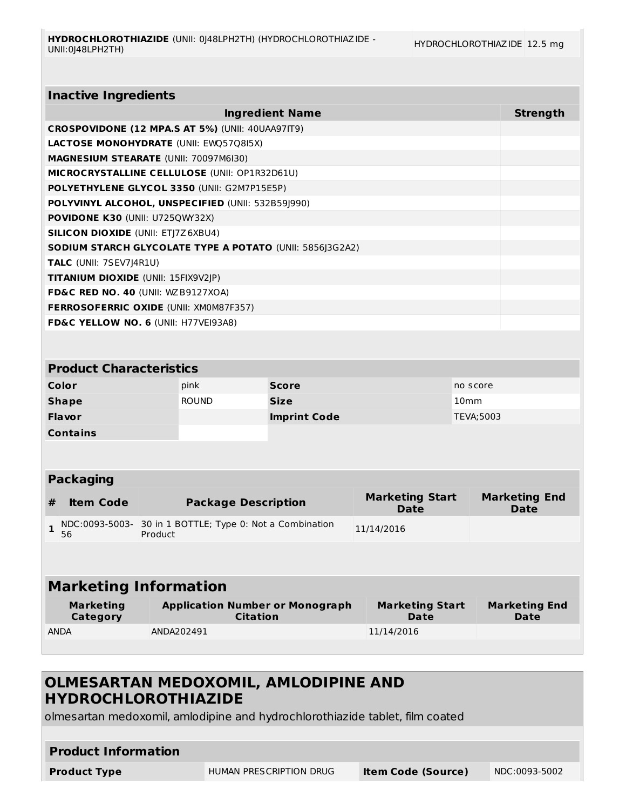**HYDROCHLOROTHIAZIDE** (UNII: 0J48LPH2TH) (HYDROCHLOROTHIAZIDE - UNII:0J48LPH2TH) HYDROCHLOROTHIAZIDE 12.5 mg

| <b>Inactive Ingredients</b>                              |                 |  |  |
|----------------------------------------------------------|-----------------|--|--|
| <b>Ingredient Name</b>                                   | <b>Strength</b> |  |  |
| <b>CROSPOVIDONE (12 MPA.S AT 5%) (UNII: 40UAA97IT9)</b>  |                 |  |  |
| <b>LACTOSE MONOHYDRATE (UNII: EWQ57Q8I5X)</b>            |                 |  |  |
| <b>MAGNESIUM STEARATE (UNII: 70097M6I30)</b>             |                 |  |  |
| <b>MICROCRYSTALLINE CELLULOSE (UNII: OP1R32D61U)</b>     |                 |  |  |
| POLYETHYLENE GLYCOL 3350 (UNII: G2M7P15E5P)              |                 |  |  |
| POLYVINYL ALCOHOL, UNSPECIFIED (UNII: 532B59J990)        |                 |  |  |
| <b>POVIDONE K30 (UNII: U7250WY32X)</b>                   |                 |  |  |
| <b>SILICON DIOXIDE (UNII: ETJ7Z6XBU4)</b>                |                 |  |  |
| SODIUM STARCH GLYCOLATE TYPE A POTATO (UNII: 5856J3G2A2) |                 |  |  |
| <b>TALC</b> (UNII: 7SEV7 4R1U)                           |                 |  |  |
| <b>TITANIUM DIOXIDE (UNII: 15FIX9V2JP)</b>               |                 |  |  |
| <b>FD&amp;C RED NO. 40 (UNII: WZB9127XOA)</b>            |                 |  |  |
| <b>FERROSOFERRIC OXIDE (UNII: XMOM87F357)</b>            |                 |  |  |
| FD&C YELLOW NO. 6 (UNII: H77VEI93A8)                     |                 |  |  |
|                                                          |                 |  |  |

| <b>Product Characteristics</b> |              |                     |                  |  |
|--------------------------------|--------------|---------------------|------------------|--|
| Color                          | pink         | <b>Score</b>        | no score         |  |
| <b>Shape</b>                   | <b>ROUND</b> | <b>Size</b>         | 10 <sub>mm</sub> |  |
| <b>Flavor</b>                  |              | <b>Imprint Code</b> | TEVA: 5003       |  |
| <b>Contains</b>                |              |                     |                  |  |

|  | <b>Packaging</b> |
|--|------------------|
|  |                  |

| # | <b>Item Code</b>             | <b>Package Description</b>                                                  | <b>Marketing Start</b><br><b>Date</b> | <b>Marketing End</b><br><b>Date</b> |
|---|------------------------------|-----------------------------------------------------------------------------|---------------------------------------|-------------------------------------|
|   | 56                           | $\vert$ NDC:0093-5003- 30 in 1 BOTTLE; Type 0: Not a Combination<br>Product | 11/14/2016                            |                                     |
|   |                              |                                                                             |                                       |                                     |
|   | <b>Marketing Information</b> |                                                                             |                                       |                                     |

| <b>Marketing</b> | <b>Application Number or Monograph</b> | <b>Marketing Start</b> | <b>Marketing End</b> |
|------------------|----------------------------------------|------------------------|----------------------|
| Category         | Citation                               | Date                   | Date                 |
| <b>ANDA</b>      | ANDA202491                             | 11/14/2016             |                      |

# **OLMESARTAN MEDOXOMIL, AMLODIPINE AND HYDROCHLOROTHIAZIDE**

olmesartan medoxomil, amlodipine and hydrochlorothiazide tablet, film coated

#### **Product Information**

**Product Type** HUMAN PRESCRIPTION DRUG **Item Code (Source)** NDC:0093-5002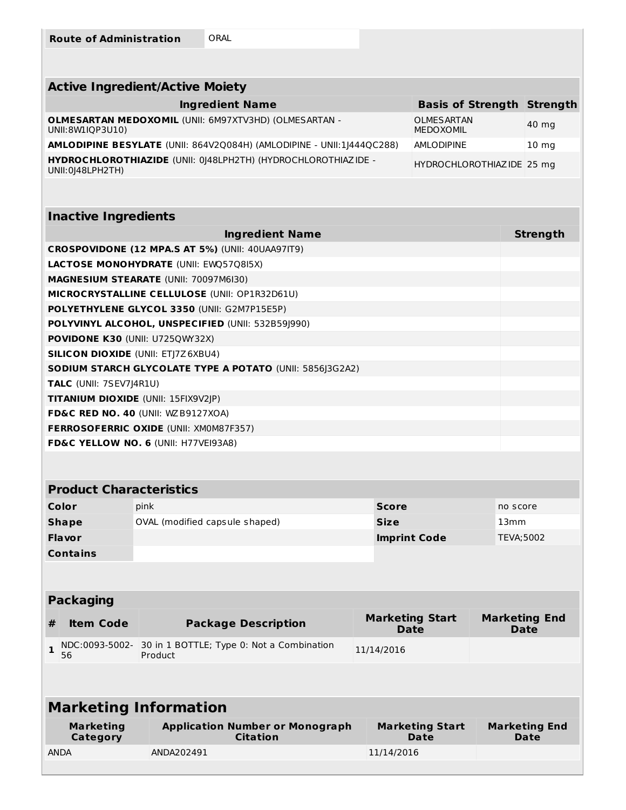| <b>Active Ingredient/Active Moiety</b>                                            |                                   |                  |  |
|-----------------------------------------------------------------------------------|-----------------------------------|------------------|--|
| <b>Ingredient Name</b>                                                            | <b>Basis of Strength Strength</b> |                  |  |
| <b>OLMESARTAN MEDOXOMIL (UNII: 6M97XTV3HD) (OLMESARTAN -</b><br>UNII:8WIIQP3U10)  | <b>OLMES ARTAN</b><br>MEDOXOMIL   | 40 mg            |  |
| AMLODIPINE BESYLATE (UNII: 864V2Q084H) (AMLODIPINE - UNII:1 444QC288)             | AMLODIPINE                        | 10 <sub>mg</sub> |  |
| HYDROCHLOROTHIAZIDE (UNII: 0)48LPH2TH) (HYDROCHLOROTHIAZIDE -<br>UNII:0J48LPH2TH) | HYDROCHLOROTHIAZIDE 25 mg         |                  |  |

# **Inactive Ingredients**

| <b>Ingredient Name</b>                                          | <b>Strength</b> |
|-----------------------------------------------------------------|-----------------|
| <b>CROSPOVIDONE (12 MPA.S AT 5%) (UNII: 40UAA97IT9)</b>         |                 |
| <b>LACTOSE MONOHYDRATE (UNII: EWQ57Q8I5X)</b>                   |                 |
| <b>MAGNESIUM STEARATE (UNII: 70097M6I30)</b>                    |                 |
| <b>MICROCRYSTALLINE CELLULOSE (UNII: OP1R32D61U)</b>            |                 |
| <b>POLYETHYLENE GLYCOL 3350 (UNII: G2M7P15E5P)</b>              |                 |
| POLYVINYL ALCOHOL, UNSPECIFIED (UNII: 532B59J990)               |                 |
| <b>POVIDONE K30 (UNII: U7250WY32X)</b>                          |                 |
| <b>SILICON DIOXIDE (UNII: ETI7Z6XBU4)</b>                       |                 |
| <b>SODIUM STARCH GLYCOLATE TYPE A POTATO (UNII: 5856 3G2A2)</b> |                 |
| <b>TALC</b> (UNII: 7SEV7J4R1U)                                  |                 |
| <b>TITANIUM DIOXIDE (UNII: 15FIX9V2JP)</b>                      |                 |
| FD&C RED NO. 40 (UNII: WZB9127XOA)                              |                 |
| <b>FERROSOFERRIC OXIDE (UNII: XMOM87F357)</b>                   |                 |
| <b>FD&amp;C YELLOW NO. 6 (UNII: H77VEI93A8)</b>                 |                 |

## **Product Characteristics**

| Color           | pink                           | <b>Score</b>        | no score         |
|-----------------|--------------------------------|---------------------|------------------|
| <b>Shape</b>    | OVAL (modified capsule shaped) | <b>Size</b>         | 13 <sub>mm</sub> |
| <b>Flavor</b>   |                                | <b>Imprint Code</b> | TEVA:5002        |
| <b>Contains</b> |                                |                     |                  |

# **Packaging**

| <b>Item Code</b> | <b>Package Description</b>                                              | <b>Marketing Start</b><br>Date | <b>Marketing End</b><br>Date |
|------------------|-------------------------------------------------------------------------|--------------------------------|------------------------------|
|                  | $\frac{1}{56}$ NDC:0093-5002- 30 in 1 BOTTLE; Type 0: Not a Combination | 11/14/2016                     |                              |

| <b>Marketing Information</b>                              |                                |                              |  |
|-----------------------------------------------------------|--------------------------------|------------------------------|--|
| <b>Application Number or Monograph</b><br><b>Citation</b> | <b>Marketing Start</b><br>Date | <b>Marketing End</b><br>Date |  |
| ANDA202491                                                | 11/14/2016                     |                              |  |
|                                                           |                                |                              |  |